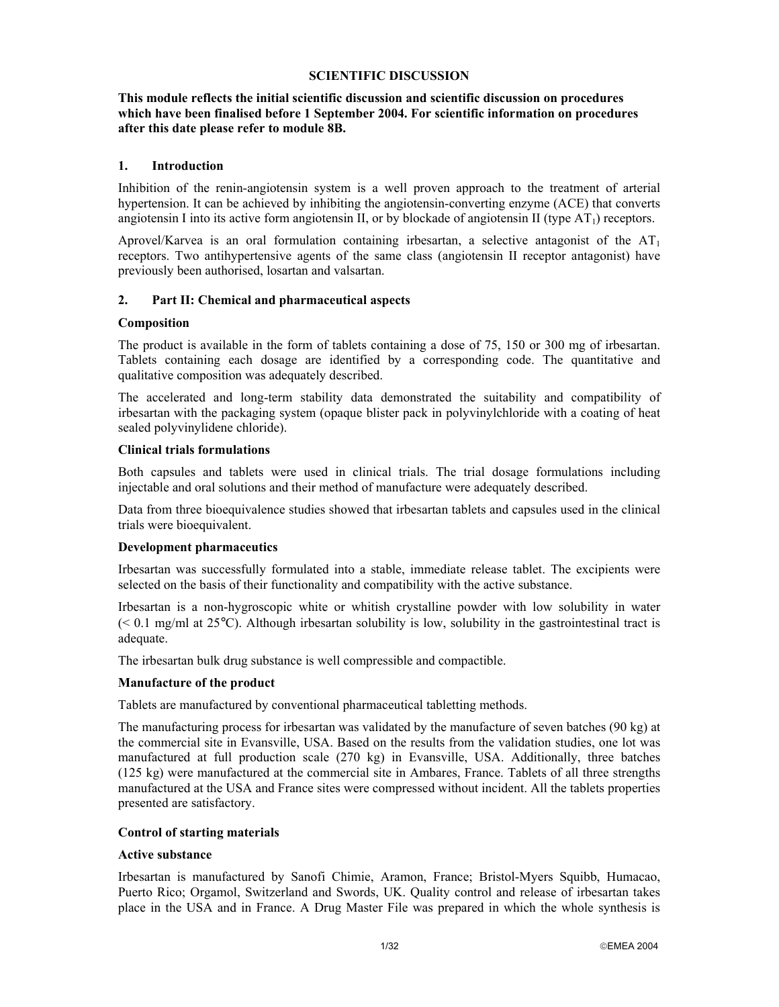#### **SCIENTIFIC DISCUSSION**

**This module reflects the initial scientific discussion and scientific discussion on procedures which have been finalised before 1 September 2004. For scientific information on procedures after this date please refer to module 8B.** 

#### **1. Introduction**

Inhibition of the renin-angiotensin system is a well proven approach to the treatment of arterial hypertension. It can be achieved by inhibiting the angiotensin-converting enzyme (ACE) that converts angiotensin I into its active form angiotensin II, or by blockade of angiotensin II (type  $AT_1$ ) receptors.

Aprovel/Karvea is an oral formulation containing irbesartan, a selective antagonist of the  $AT<sub>1</sub>$ receptors. Two antihypertensive agents of the same class (angiotensin II receptor antagonist) have previously been authorised, losartan and valsartan.

### **2. Part II: Chemical and pharmaceutical aspects**

### **Composition**

The product is available in the form of tablets containing a dose of 75, 150 or 300 mg of irbesartan. Tablets containing each dosage are identified by a corresponding code. The quantitative and qualitative composition was adequately described.

The accelerated and long-term stability data demonstrated the suitability and compatibility of irbesartan with the packaging system (opaque blister pack in polyvinylchloride with a coating of heat sealed polyvinylidene chloride).

#### **Clinical trials formulations**

Both capsules and tablets were used in clinical trials. The trial dosage formulations including injectable and oral solutions and their method of manufacture were adequately described.

Data from three bioequivalence studies showed that irbesartan tablets and capsules used in the clinical trials were bioequivalent.

### **Development pharmaceutics**

Irbesartan was successfully formulated into a stable, immediate release tablet. The excipients were selected on the basis of their functionality and compatibility with the active substance.

Irbesartan is a non-hygroscopic white or whitish crystalline powder with low solubility in water  $(< 0.1$  mg/ml at 25 $^{\circ}$ C). Although irbesartan solubility is low, solubility in the gastrointestinal tract is adequate.

The irbesartan bulk drug substance is well compressible and compactible.

### **Manufacture of the product**

Tablets are manufactured by conventional pharmaceutical tabletting methods.

The manufacturing process for irbesartan was validated by the manufacture of seven batches (90 kg) at the commercial site in Evansville, USA. Based on the results from the validation studies, one lot was manufactured at full production scale (270 kg) in Evansville, USA. Additionally, three batches (125 kg) were manufactured at the commercial site in Ambares, France. Tablets of all three strengths manufactured at the USA and France sites were compressed without incident. All the tablets properties presented are satisfactory.

### **Control of starting materials**

### **Active substance**

Irbesartan is manufactured by Sanofi Chimie, Aramon, France; Bristol-Myers Squibb, Humacao, Puerto Rico; Orgamol, Switzerland and Swords, UK. Quality control and release of irbesartan takes place in the USA and in France. A Drug Master File was prepared in which the whole synthesis is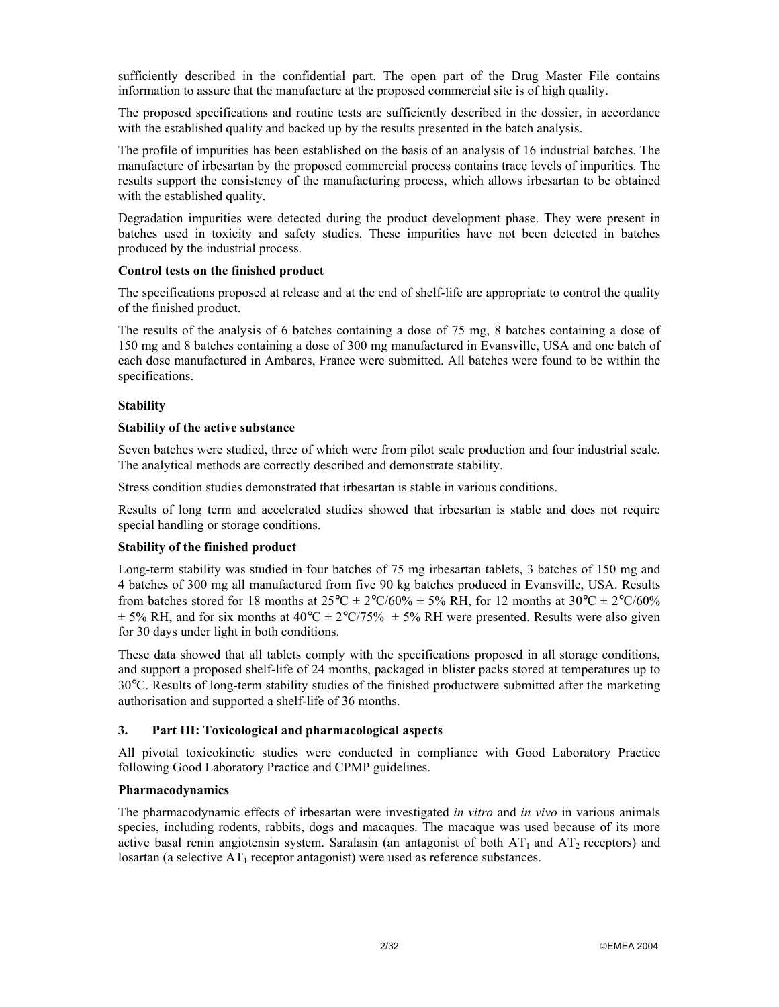sufficiently described in the confidential part. The open part of the Drug Master File contains information to assure that the manufacture at the proposed commercial site is of high quality.

The proposed specifications and routine tests are sufficiently described in the dossier, in accordance with the established quality and backed up by the results presented in the batch analysis.

The profile of impurities has been established on the basis of an analysis of 16 industrial batches. The manufacture of irbesartan by the proposed commercial process contains trace levels of impurities. The results support the consistency of the manufacturing process, which allows irbesartan to be obtained with the established quality.

Degradation impurities were detected during the product development phase. They were present in batches used in toxicity and safety studies. These impurities have not been detected in batches produced by the industrial process.

#### **Control tests on the finished product**

The specifications proposed at release and at the end of shelf-life are appropriate to control the quality of the finished product.

The results of the analysis of 6 batches containing a dose of 75 mg, 8 batches containing a dose of 150 mg and 8 batches containing a dose of 300 mg manufactured in Evansville, USA and one batch of each dose manufactured in Ambares, France were submitted. All batches were found to be within the specifications.

### **Stability**

#### **Stability of the active substance**

Seven batches were studied, three of which were from pilot scale production and four industrial scale. The analytical methods are correctly described and demonstrate stability.

Stress condition studies demonstrated that irbesartan is stable in various conditions.

Results of long term and accelerated studies showed that irbesartan is stable and does not require special handling or storage conditions.

### **Stability of the finished product**

Long-term stability was studied in four batches of 75 mg irbesartan tablets, 3 batches of 150 mg and 4 batches of 300 mg all manufactured from five 90 kg batches produced in Evansville, USA. Results from batches stored for 18 months at  $25^{\circ}C \pm 2^{\circ}C/60\% \pm 5\%$  RH, for 12 months at  $30^{\circ}C \pm 2^{\circ}C/60\%$  $\pm$  5% RH, and for six months at 40°C  $\pm$  2°C/75%  $\pm$  5% RH were presented. Results were also given for 30 days under light in both conditions.

These data showed that all tablets comply with the specifications proposed in all storage conditions, and support a proposed shelf-life of 24 months, packaged in blister packs stored at temperatures up to 30°C. Results of long-term stability studies of the finished productwere submitted after the marketing authorisation and supported a shelf-life of 36 months.

### **3. Part III: Toxicological and pharmacological aspects**

All pivotal toxicokinetic studies were conducted in compliance with Good Laboratory Practice following Good Laboratory Practice and CPMP guidelines.

### **Pharmacodynamics**

The pharmacodynamic effects of irbesartan were investigated *in vitro* and *in vivo* in various animals species, including rodents, rabbits, dogs and macaques. The macaque was used because of its more active basal renin angiotensin system. Saralasin (an antagonist of both  $AT_1$  and  $AT_2$  receptors) and losartan (a selective  $AT_1$  receptor antagonist) were used as reference substances.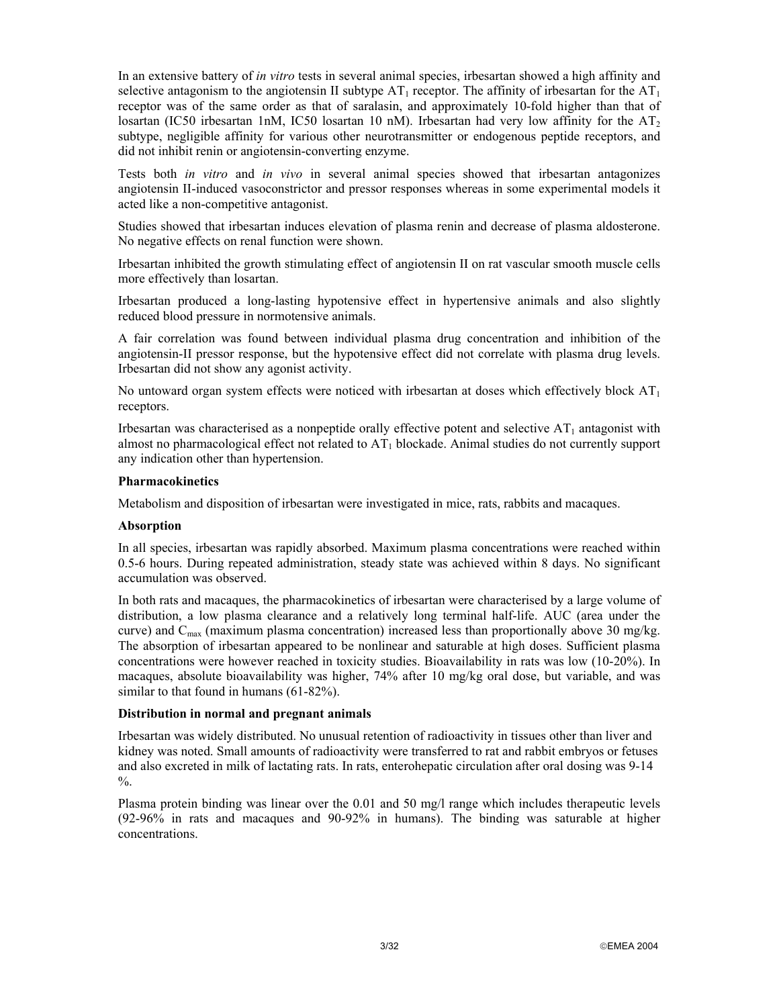In an extensive battery of *in vitro* tests in several animal species, irbesartan showed a high affinity and selective antagonism to the angiotensin II subtype  $AT_1$  receptor. The affinity of irbesartan for the  $AT_1$ receptor was of the same order as that of saralasin, and approximately 10-fold higher than that of losartan (IC50 irbesartan 1nM, IC50 losartan 10 nM). Irbesartan had very low affinity for the  $AT_2$ subtype, negligible affinity for various other neurotransmitter or endogenous peptide receptors, and did not inhibit renin or angiotensin-converting enzyme.

Tests both *in vitro* and *in vivo* in several animal species showed that irbesartan antagonizes angiotensin II-induced vasoconstrictor and pressor responses whereas in some experimental models it acted like a non-competitive antagonist.

Studies showed that irbesartan induces elevation of plasma renin and decrease of plasma aldosterone. No negative effects on renal function were shown.

Irbesartan inhibited the growth stimulating effect of angiotensin II on rat vascular smooth muscle cells more effectively than losartan.

Irbesartan produced a long-lasting hypotensive effect in hypertensive animals and also slightly reduced blood pressure in normotensive animals.

A fair correlation was found between individual plasma drug concentration and inhibition of the angiotensin-II pressor response, but the hypotensive effect did not correlate with plasma drug levels. Irbesartan did not show any agonist activity.

No untoward organ system effects were noticed with irbesartan at doses which effectively block  $AT<sub>1</sub>$ receptors.

Irbesartan was characterised as a nonpeptide orally effective potent and selective  $AT_1$  antagonist with almost no pharmacological effect not related to  $AT_1$  blockade. Animal studies do not currently support any indication other than hypertension.

#### **Pharmacokinetics**

Metabolism and disposition of irbesartan were investigated in mice, rats, rabbits and macaques.

#### **Absorption**

In all species, irbesartan was rapidly absorbed. Maximum plasma concentrations were reached within 0.5-6 hours. During repeated administration, steady state was achieved within 8 days. No significant accumulation was observed.

In both rats and macaques, the pharmacokinetics of irbesartan were characterised by a large volume of distribution, a low plasma clearance and a relatively long terminal half-life. AUC (area under the curve) and  $C_{\text{max}}$  (maximum plasma concentration) increased less than proportionally above 30 mg/kg. The absorption of irbesartan appeared to be nonlinear and saturable at high doses. Sufficient plasma concentrations were however reached in toxicity studies. Bioavailability in rats was low (10-20%). In macaques, absolute bioavailability was higher, 74% after 10 mg/kg oral dose, but variable, and was similar to that found in humans (61-82%).

### **Distribution in normal and pregnant animals**

Irbesartan was widely distributed. No unusual retention of radioactivity in tissues other than liver and kidney was noted. Small amounts of radioactivity were transferred to rat and rabbit embryos or fetuses and also excreted in milk of lactating rats. In rats, enterohepatic circulation after oral dosing was 9-14  $\%$ .

Plasma protein binding was linear over the 0.01 and 50 mg/l range which includes therapeutic levels (92-96% in rats and macaques and 90-92% in humans). The binding was saturable at higher concentrations.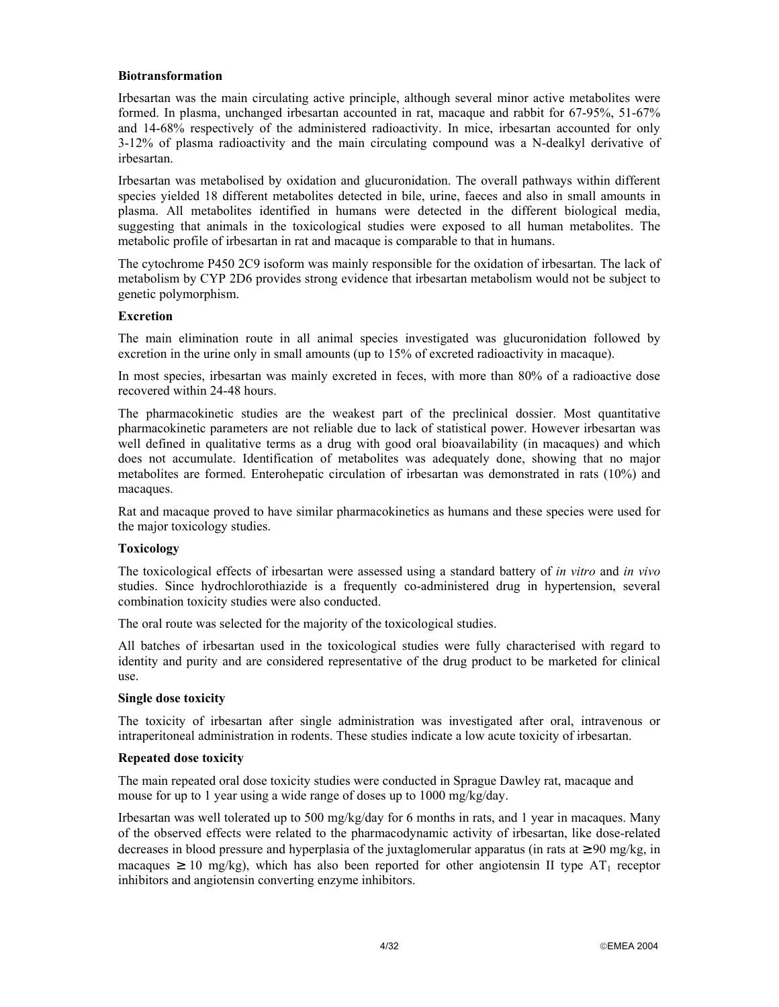#### **Biotransformation**

Irbesartan was the main circulating active principle, although several minor active metabolites were formed. In plasma, unchanged irbesartan accounted in rat, macaque and rabbit for 67-95%, 51-67% and 14-68% respectively of the administered radioactivity. In mice, irbesartan accounted for only 3-12% of plasma radioactivity and the main circulating compound was a N-dealkyl derivative of irbesartan.

Irbesartan was metabolised by oxidation and glucuronidation. The overall pathways within different species yielded 18 different metabolites detected in bile, urine, faeces and also in small amounts in plasma. All metabolites identified in humans were detected in the different biological media, suggesting that animals in the toxicological studies were exposed to all human metabolites. The metabolic profile of irbesartan in rat and macaque is comparable to that in humans.

The cytochrome P450 2C9 isoform was mainly responsible for the oxidation of irbesartan. The lack of metabolism by CYP 2D6 provides strong evidence that irbesartan metabolism would not be subject to genetic polymorphism.

#### **Excretion**

The main elimination route in all animal species investigated was glucuronidation followed by excretion in the urine only in small amounts (up to 15% of excreted radioactivity in macaque).

In most species, irbesartan was mainly excreted in feces, with more than 80% of a radioactive dose recovered within 24-48 hours.

The pharmacokinetic studies are the weakest part of the preclinical dossier. Most quantitative pharmacokinetic parameters are not reliable due to lack of statistical power. However irbesartan was well defined in qualitative terms as a drug with good oral bioavailability (in macaques) and which does not accumulate. Identification of metabolites was adequately done, showing that no major metabolites are formed. Enterohepatic circulation of irbesartan was demonstrated in rats (10%) and macaques.

Rat and macaque proved to have similar pharmacokinetics as humans and these species were used for the major toxicology studies.

### **Toxicology**

The toxicological effects of irbesartan were assessed using a standard battery of *in vitro* and *in vivo* studies. Since hydrochlorothiazide is a frequently co-administered drug in hypertension, several combination toxicity studies were also conducted.

The oral route was selected for the majority of the toxicological studies.

All batches of irbesartan used in the toxicological studies were fully characterised with regard to identity and purity and are considered representative of the drug product to be marketed for clinical use.

#### **Single dose toxicity**

The toxicity of irbesartan after single administration was investigated after oral, intravenous or intraperitoneal administration in rodents. These studies indicate a low acute toxicity of irbesartan.

#### **Repeated dose toxicity**

The main repeated oral dose toxicity studies were conducted in Sprague Dawley rat, macaque and mouse for up to 1 year using a wide range of doses up to 1000 mg/kg/day.

Irbesartan was well tolerated up to 500 mg/kg/day for 6 months in rats, and 1 year in macaques. Many of the observed effects were related to the pharmacodynamic activity of irbesartan, like dose-related decreases in blood pressure and hyperplasia of the juxtaglomerular apparatus (in rats at  $\geq 90$  mg/kg, in macaques  $\geq 10$  mg/kg), which has also been reported for other angiotensin II type AT<sub>1</sub> receptor inhibitors and angiotensin converting enzyme inhibitors.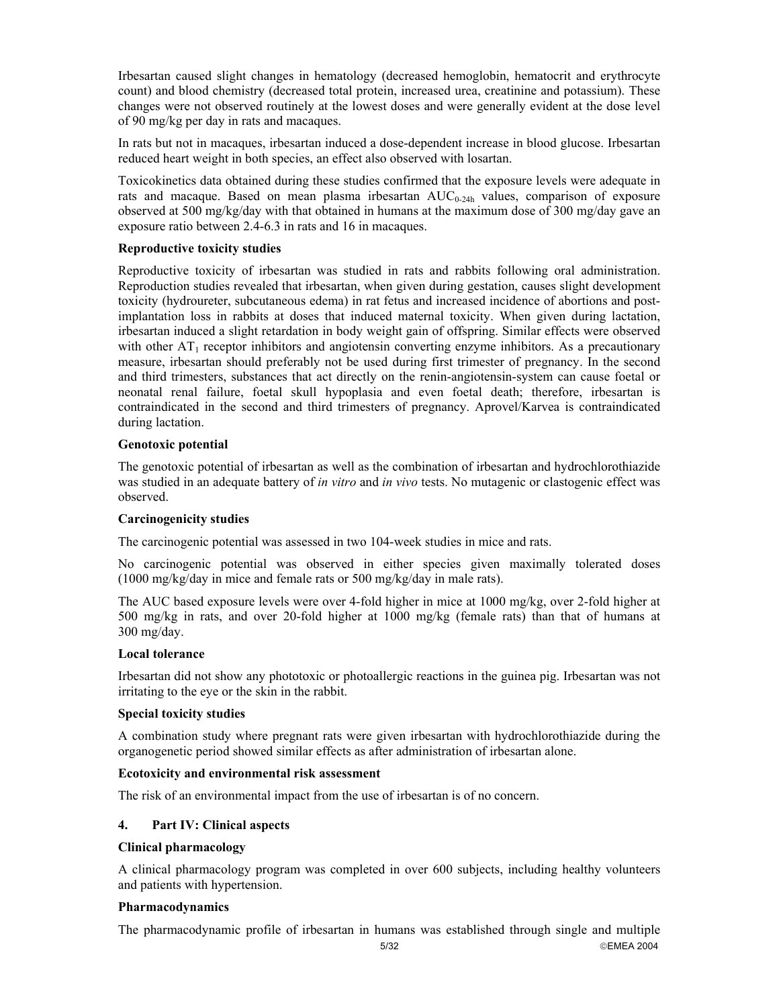Irbesartan caused slight changes in hematology (decreased hemoglobin, hematocrit and erythrocyte count) and blood chemistry (decreased total protein, increased urea, creatinine and potassium). These changes were not observed routinely at the lowest doses and were generally evident at the dose level of 90 mg/kg per day in rats and macaques.

In rats but not in macaques, irbesartan induced a dose-dependent increase in blood glucose. Irbesartan reduced heart weight in both species, an effect also observed with losartan.

Toxicokinetics data obtained during these studies confirmed that the exposure levels were adequate in rats and macaque. Based on mean plasma irbesartan AUC<sub>0-24h</sub> values, comparison of exposure observed at 500 mg/kg/day with that obtained in humans at the maximum dose of 300 mg/day gave an exposure ratio between 2.4-6.3 in rats and 16 in macaques.

## **Reproductive toxicity studies**

Reproductive toxicity of irbesartan was studied in rats and rabbits following oral administration. Reproduction studies revealed that irbesartan, when given during gestation, causes slight development toxicity (hydroureter, subcutaneous edema) in rat fetus and increased incidence of abortions and postimplantation loss in rabbits at doses that induced maternal toxicity. When given during lactation, irbesartan induced a slight retardation in body weight gain of offspring. Similar effects were observed with other  $AT_1$  receptor inhibitors and angiotensin converting enzyme inhibitors. As a precautionary measure, irbesartan should preferably not be used during first trimester of pregnancy. In the second and third trimesters, substances that act directly on the renin-angiotensin-system can cause foetal or neonatal renal failure, foetal skull hypoplasia and even foetal death; therefore, irbesartan is contraindicated in the second and third trimesters of pregnancy. Aprovel/Karvea is contraindicated during lactation.

# **Genotoxic potential**

The genotoxic potential of irbesartan as well as the combination of irbesartan and hydrochlorothiazide was studied in an adequate battery of *in vitro* and *in vivo* tests. No mutagenic or clastogenic effect was observed.

### **Carcinogenicity studies**

The carcinogenic potential was assessed in two 104-week studies in mice and rats.

No carcinogenic potential was observed in either species given maximally tolerated doses (1000 mg/kg/day in mice and female rats or 500 mg/kg/day in male rats).

The AUC based exposure levels were over 4-fold higher in mice at 1000 mg/kg, over 2-fold higher at 500 mg/kg in rats, and over 20-fold higher at 1000 mg/kg (female rats) than that of humans at 300 mg/day.

### **Local tolerance**

Irbesartan did not show any phototoxic or photoallergic reactions in the guinea pig. Irbesartan was not irritating to the eye or the skin in the rabbit.

### **Special toxicity studies**

A combination study where pregnant rats were given irbesartan with hydrochlorothiazide during the organogenetic period showed similar effects as after administration of irbesartan alone.

### **Ecotoxicity and environmental risk assessment**

The risk of an environmental impact from the use of irbesartan is of no concern.

# **4. Part IV: Clinical aspects**

## **Clinical pharmacology**

A clinical pharmacology program was completed in over 600 subjects, including healthy volunteers and patients with hypertension.

### **Pharmacodynamics**

The pharmacodynamic profile of irbesartan in humans was established through single and multiple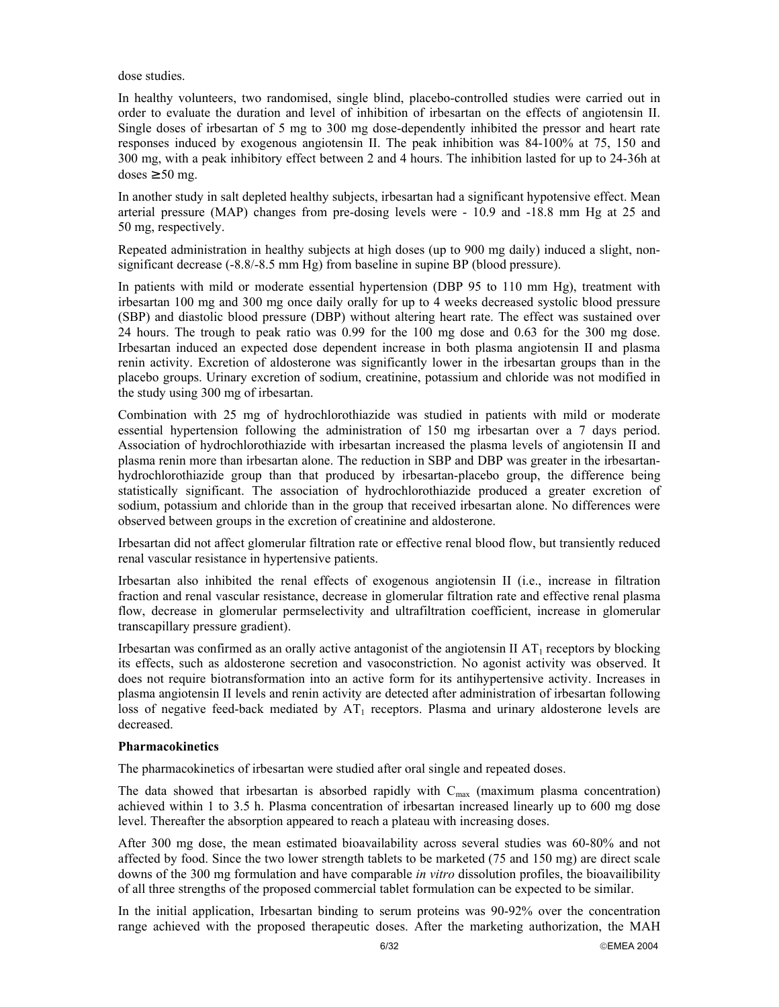dose studies.

In healthy volunteers, two randomised, single blind, placebo-controlled studies were carried out in order to evaluate the duration and level of inhibition of irbesartan on the effects of angiotensin II. Single doses of irbesartan of 5 mg to 300 mg dose-dependently inhibited the pressor and heart rate responses induced by exogenous angiotensin II. The peak inhibition was 84-100% at 75, 150 and 300 mg, with a peak inhibitory effect between 2 and 4 hours. The inhibition lasted for up to 24-36h at doses  $\geq 50$  mg.

In another study in salt depleted healthy subjects, irbesartan had a significant hypotensive effect. Mean arterial pressure (MAP) changes from pre-dosing levels were - 10.9 and -18.8 mm Hg at 25 and 50 mg, respectively.

Repeated administration in healthy subjects at high doses (up to 900 mg daily) induced a slight, nonsignificant decrease (-8.8/-8.5 mm Hg) from baseline in supine BP (blood pressure).

In patients with mild or moderate essential hypertension (DBP 95 to 110 mm Hg), treatment with irbesartan 100 mg and 300 mg once daily orally for up to 4 weeks decreased systolic blood pressure (SBP) and diastolic blood pressure (DBP) without altering heart rate. The effect was sustained over 24 hours. The trough to peak ratio was 0.99 for the 100 mg dose and 0.63 for the 300 mg dose. Irbesartan induced an expected dose dependent increase in both plasma angiotensin II and plasma renin activity. Excretion of aldosterone was significantly lower in the irbesartan groups than in the placebo groups. Urinary excretion of sodium, creatinine, potassium and chloride was not modified in the study using 300 mg of irbesartan.

Combination with 25 mg of hydrochlorothiazide was studied in patients with mild or moderate essential hypertension following the administration of 150 mg irbesartan over a 7 days period. Association of hydrochlorothiazide with irbesartan increased the plasma levels of angiotensin II and plasma renin more than irbesartan alone. The reduction in SBP and DBP was greater in the irbesartanhydrochlorothiazide group than that produced by irbesartan-placebo group, the difference being statistically significant. The association of hydrochlorothiazide produced a greater excretion of sodium, potassium and chloride than in the group that received irbesartan alone. No differences were observed between groups in the excretion of creatinine and aldosterone.

Irbesartan did not affect glomerular filtration rate or effective renal blood flow, but transiently reduced renal vascular resistance in hypertensive patients.

Irbesartan also inhibited the renal effects of exogenous angiotensin II (i.e., increase in filtration fraction and renal vascular resistance, decrease in glomerular filtration rate and effective renal plasma flow, decrease in glomerular permselectivity and ultrafiltration coefficient, increase in glomerular transcapillary pressure gradient).

Irbesartan was confirmed as an orally active antagonist of the angiotensin II  $AT_1$  receptors by blocking its effects, such as aldosterone secretion and vasoconstriction. No agonist activity was observed. It does not require biotransformation into an active form for its antihypertensive activity. Increases in plasma angiotensin II levels and renin activity are detected after administration of irbesartan following loss of negative feed-back mediated by  $AT_1$  receptors. Plasma and urinary aldosterone levels are decreased.

### **Pharmacokinetics**

The pharmacokinetics of irbesartan were studied after oral single and repeated doses.

The data showed that irbesartan is absorbed rapidly with  $C_{\text{max}}$  (maximum plasma concentration) achieved within 1 to 3.5 h. Plasma concentration of irbesartan increased linearly up to 600 mg dose level. Thereafter the absorption appeared to reach a plateau with increasing doses.

After 300 mg dose, the mean estimated bioavailability across several studies was 60-80% and not affected by food. Since the two lower strength tablets to be marketed (75 and 150 mg) are direct scale downs of the 300 mg formulation and have comparable *in vitro* dissolution profiles, the bioavailibility of all three strengths of the proposed commercial tablet formulation can be expected to be similar.

In the initial application, Irbesartan binding to serum proteins was 90-92% over the concentration range achieved with the proposed therapeutic doses. After the marketing authorization, the MAH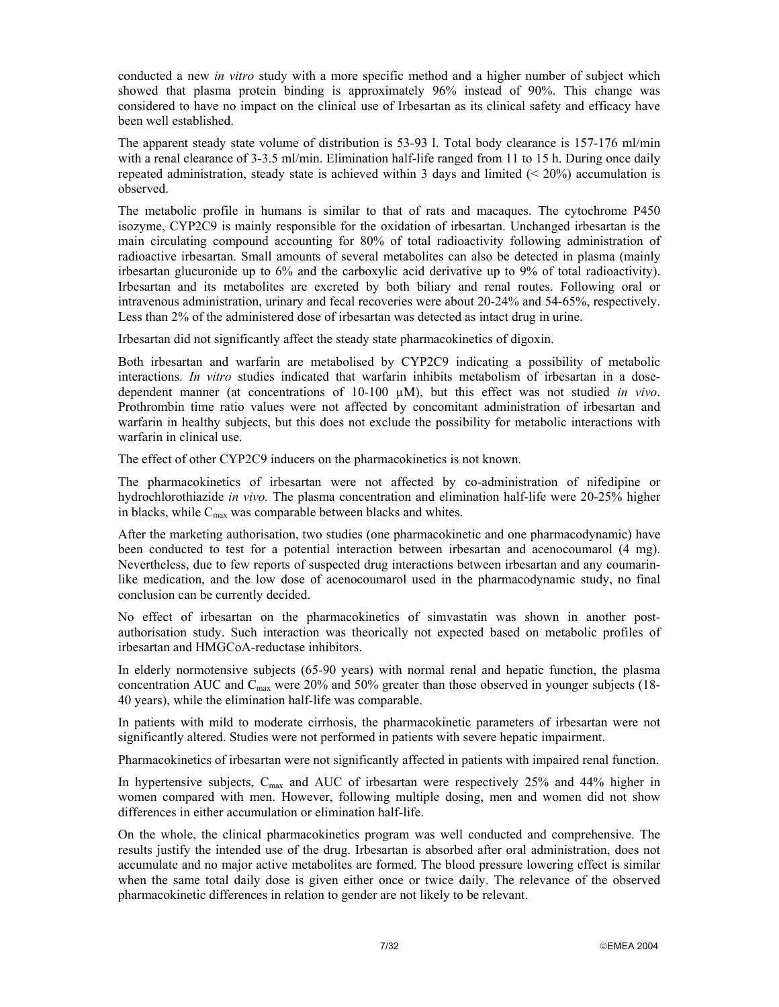conducted a new *in vitro* study with a more specific method and a higher number of subject which showed that plasma protein binding is approximately 96% instead of 90%. This change was considered to have no impact on the clinical use of Irbesartan as its clinical safety and efficacy have been well established.

The apparent steady state volume of distribution is 53-93 l. Total body clearance is 157-176 ml/min with a renal clearance of 3-3.5 ml/min. Elimination half-life ranged from 11 to 15 h. During once daily repeated administration, steady state is achieved within 3 days and limited  $(< 20\%$ ) accumulation is observed.

The metabolic profile in humans is similar to that of rats and macaques. The cytochrome P450 isozyme, CYP2C9 is mainly responsible for the oxidation of irbesartan. Unchanged irbesartan is the main circulating compound accounting for 80% of total radioactivity following administration of radioactive irbesartan. Small amounts of several metabolites can also be detected in plasma (mainly irbesartan glucuronide up to 6% and the carboxylic acid derivative up to 9% of total radioactivity). Irbesartan and its metabolites are excreted by both biliary and renal routes. Following oral or intravenous administration, urinary and fecal recoveries were about 20-24% and 54-65%, respectively. Less than 2% of the administered dose of irbesartan was detected as intact drug in urine.

Irbesartan did not significantly affect the steady state pharmacokinetics of digoxin.

Both irbesartan and warfarin are metabolised by CYP2C9 indicating a possibility of metabolic interactions. *In vitro* studies indicated that warfarin inhibits metabolism of irbesartan in a dosedependent manner (at concentrations of 10-100 µM), but this effect was not studied *in vivo*. Prothrombin time ratio values were not affected by concomitant administration of irbesartan and warfarin in healthy subjects, but this does not exclude the possibility for metabolic interactions with warfarin in clinical use.

The effect of other CYP2C9 inducers on the pharmacokinetics is not known.

The pharmacokinetics of irbesartan were not affected by co-administration of nifedipine or hydrochlorothiazide *in vivo.* The plasma concentration and elimination half-life were 20-25% higher in blacks, while  $C_{\text{max}}$  was comparable between blacks and whites.

After the marketing authorisation, two studies (one pharmacokinetic and one pharmacodynamic) have been conducted to test for a potential interaction between irbesartan and acenocoumarol (4 mg). Nevertheless, due to few reports of suspected drug interactions between irbesartan and any coumarinlike medication, and the low dose of acenocoumarol used in the pharmacodynamic study, no final conclusion can be currently decided.

No effect of irbesartan on the pharmacokinetics of simvastatin was shown in another postauthorisation study. Such interaction was theorically not expected based on metabolic profiles of irbesartan and HMGCoA-reductase inhibitors.

In elderly normotensive subjects (65-90 years) with normal renal and hepatic function, the plasma concentration AUC and C<sub>max</sub> were 20% and 50% greater than those observed in younger subjects (18-40 years), while the elimination half-life was comparable.

In patients with mild to moderate cirrhosis, the pharmacokinetic parameters of irbesartan were not significantly altered. Studies were not performed in patients with severe hepatic impairment.

Pharmacokinetics of irbesartan were not significantly affected in patients with impaired renal function.

In hypertensive subjects,  $C_{\text{max}}$  and AUC of irbesartan were respectively 25% and 44% higher in women compared with men. However, following multiple dosing, men and women did not show differences in either accumulation or elimination half-life.

On the whole, the clinical pharmacokinetics program was well conducted and comprehensive. The results justify the intended use of the drug. Irbesartan is absorbed after oral administration, does not accumulate and no major active metabolites are formed. The blood pressure lowering effect is similar when the same total daily dose is given either once or twice daily. The relevance of the observed pharmacokinetic differences in relation to gender are not likely to be relevant.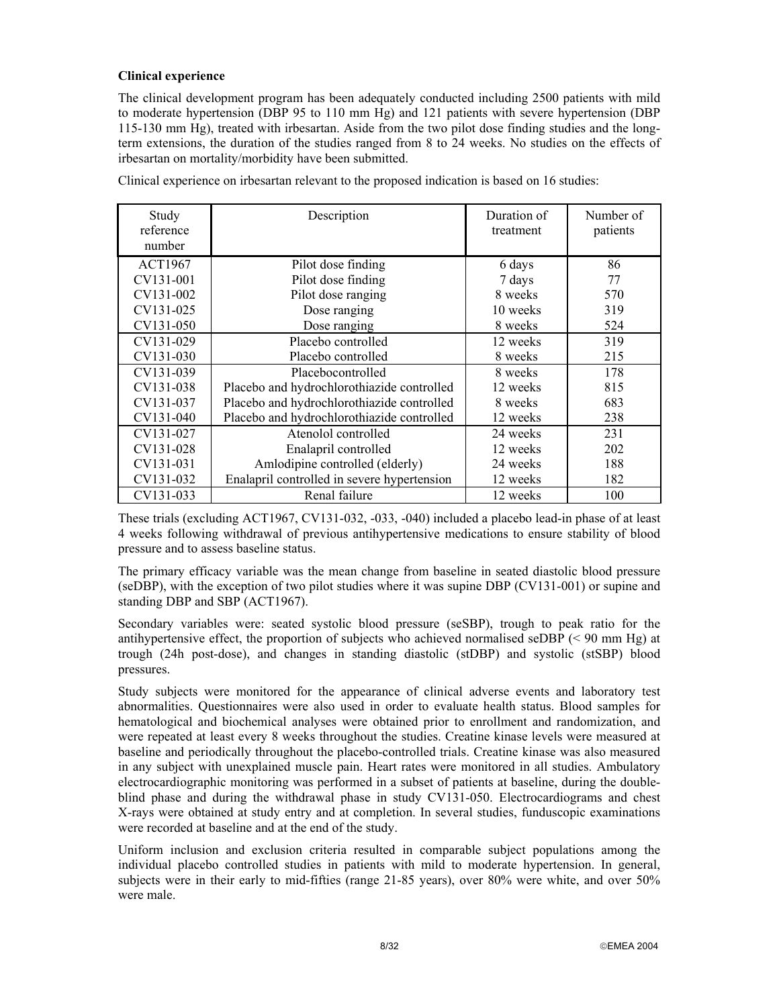# **Clinical experience**

The clinical development program has been adequately conducted including 2500 patients with mild to moderate hypertension (DBP 95 to 110 mm Hg) and 121 patients with severe hypertension (DBP 115-130 mm Hg), treated with irbesartan. Aside from the two pilot dose finding studies and the longterm extensions, the duration of the studies ranged from 8 to 24 weeks. No studies on the effects of irbesartan on mortality/morbidity have been submitted.

| Study<br>reference<br>number | Description                                 | Duration of<br>treatment | Number of<br>patients |
|------------------------------|---------------------------------------------|--------------------------|-----------------------|
| <b>ACT1967</b>               | Pilot dose finding                          | 6 days                   | 86                    |
| CV131-001                    | Pilot dose finding                          | 7 days                   | 77                    |
| CV131-002                    | Pilot dose ranging                          | 8 weeks                  | 570                   |
| CV131-025                    | Dose ranging                                | 10 weeks                 | 319                   |
| CV131-050                    | Dose ranging                                | 8 weeks                  | 524                   |
| CV131-029                    | Placebo controlled                          | 12 weeks                 | 319                   |
| CV131-030                    | Placebo controlled                          | 8 weeks                  | 215                   |
| CV131-039                    | Placebocontrolled                           | 8 weeks                  | 178                   |
| CV131-038                    | Placebo and hydrochlorothiazide controlled  | 12 weeks                 | 815                   |
| CV131-037                    | Placebo and hydrochlorothiazide controlled  | 8 weeks                  | 683                   |
| CV131-040                    | Placebo and hydrochlorothiazide controlled  | 12 weeks                 | 238                   |
| CV131-027                    | Atenolol controlled                         | 24 weeks                 | 231                   |
| CV131-028                    | Enalapril controlled                        | 12 weeks                 | 202                   |
| CV131-031                    | Amlodipine controlled (elderly)             | 24 weeks                 | 188                   |
| CV131-032                    | Enalapril controlled in severe hypertension | 12 weeks                 | 182                   |
| CV131-033                    | Renal failure                               | 12 weeks                 | 100                   |

Clinical experience on irbesartan relevant to the proposed indication is based on 16 studies:

These trials (excluding ACT1967, CV131-032, -033, -040) included a placebo lead-in phase of at least 4 weeks following withdrawal of previous antihypertensive medications to ensure stability of blood pressure and to assess baseline status.

The primary efficacy variable was the mean change from baseline in seated diastolic blood pressure (seDBP), with the exception of two pilot studies where it was supine DBP (CV131-001) or supine and standing DBP and SBP (ACT1967).

Secondary variables were: seated systolic blood pressure (seSBP), trough to peak ratio for the antihypertensive effect, the proportion of subjects who achieved normalised seDBP (< 90 mm Hg) at trough (24h post-dose), and changes in standing diastolic (stDBP) and systolic (stSBP) blood pressures.

Study subjects were monitored for the appearance of clinical adverse events and laboratory test abnormalities. Questionnaires were also used in order to evaluate health status. Blood samples for hematological and biochemical analyses were obtained prior to enrollment and randomization, and were repeated at least every 8 weeks throughout the studies. Creatine kinase levels were measured at baseline and periodically throughout the placebo-controlled trials. Creatine kinase was also measured in any subject with unexplained muscle pain. Heart rates were monitored in all studies. Ambulatory electrocardiographic monitoring was performed in a subset of patients at baseline, during the doubleblind phase and during the withdrawal phase in study CV131-050. Electrocardiograms and chest X-rays were obtained at study entry and at completion. In several studies, funduscopic examinations were recorded at baseline and at the end of the study.

Uniform inclusion and exclusion criteria resulted in comparable subject populations among the individual placebo controlled studies in patients with mild to moderate hypertension. In general, subjects were in their early to mid-fifties (range 21-85 years), over 80% were white, and over 50% were male.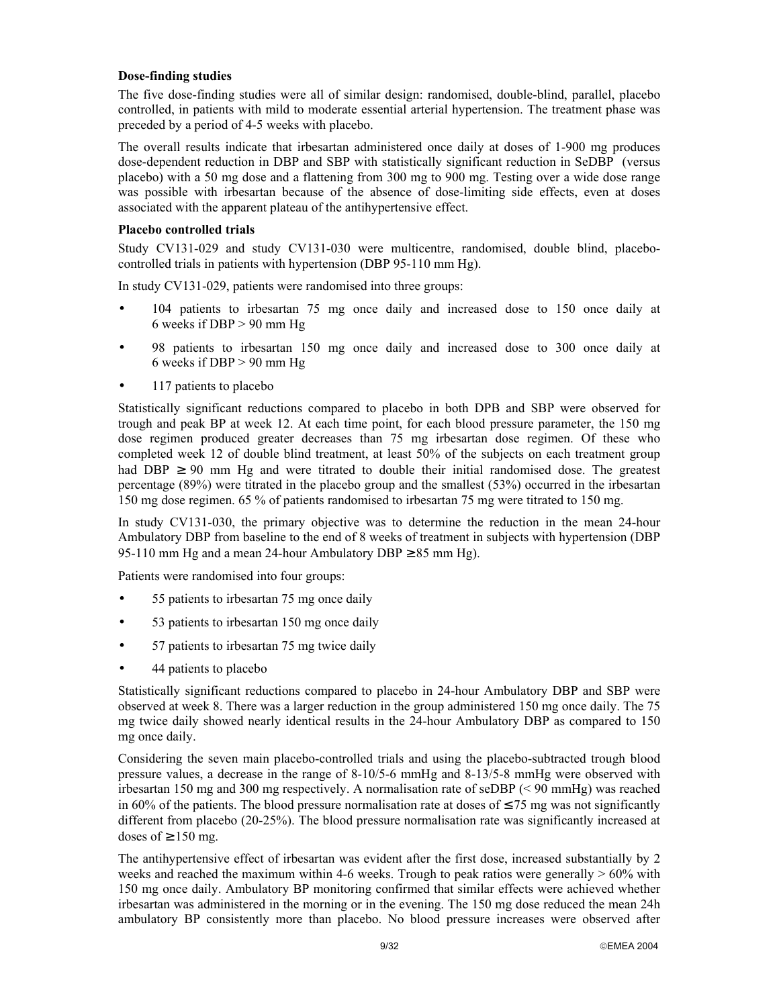## **Dose-finding studies**

The five dose-finding studies were all of similar design: randomised, double-blind, parallel, placebo controlled, in patients with mild to moderate essential arterial hypertension. The treatment phase was preceded by a period of 4-5 weeks with placebo.

The overall results indicate that irbesartan administered once daily at doses of 1-900 mg produces dose-dependent reduction in DBP and SBP with statistically significant reduction in SeDBP (versus placebo) with a 50 mg dose and a flattening from 300 mg to 900 mg. Testing over a wide dose range was possible with irbesartan because of the absence of dose-limiting side effects, even at doses associated with the apparent plateau of the antihypertensive effect.

# **Placebo controlled trials**

Study CV131-029 and study CV131-030 were multicentre, randomised, double blind, placebocontrolled trials in patients with hypertension (DBP 95-110 mm Hg).

In study CV131-029, patients were randomised into three groups:

- 104 patients to irbesartan 75 mg once daily and increased dose to 150 once daily at 6 weeks if  $DBP > 90$  mm Hg
- 98 patients to irbesartan 150 mg once daily and increased dose to 300 once daily at 6 weeks if  $DBP > 90$  mm Hg
- 117 patients to placebo

Statistically significant reductions compared to placebo in both DPB and SBP were observed for trough and peak BP at week 12. At each time point, for each blood pressure parameter, the 150 mg dose regimen produced greater decreases than 75 mg irbesartan dose regimen. Of these who completed week 12 of double blind treatment, at least 50% of the subjects on each treatment group had DBP  $\geq$  90 mm Hg and were titrated to double their initial randomised dose. The greatest percentage (89%) were titrated in the placebo group and the smallest (53%) occurred in the irbesartan 150 mg dose regimen. 65 % of patients randomised to irbesartan 75 mg were titrated to 150 mg.

In study CV131-030, the primary objective was to determine the reduction in the mean 24-hour Ambulatory DBP from baseline to the end of 8 weeks of treatment in subjects with hypertension (DBP 95-110 mm Hg and a mean 24-hour Ambulatory DBP  $\geq$  85 mm Hg).

Patients were randomised into four groups:

- 55 patients to irbesartan 75 mg once daily
- 53 patients to irbesartan 150 mg once daily
- 57 patients to irbesartan 75 mg twice daily
- 44 patients to placebo

Statistically significant reductions compared to placebo in 24-hour Ambulatory DBP and SBP were observed at week 8. There was a larger reduction in the group administered 150 mg once daily. The 75 mg twice daily showed nearly identical results in the 24-hour Ambulatory DBP as compared to 150 mg once daily.

Considering the seven main placebo-controlled trials and using the placebo-subtracted trough blood pressure values, a decrease in the range of 8-10/5-6 mmHg and 8-13/5-8 mmHg were observed with irbesartan 150 mg and 300 mg respectively. A normalisation rate of seDBP (< 90 mmHg) was reached in 60% of the patients. The blood pressure normalisation rate at doses of  $\leq$  75 mg was not significantly different from placebo (20-25%). The blood pressure normalisation rate was significantly increased at doses of  $\geq 150$  mg.

The antihypertensive effect of irbesartan was evident after the first dose, increased substantially by 2 weeks and reached the maximum within 4-6 weeks. Trough to peak ratios were generally  $> 60\%$  with 150 mg once daily. Ambulatory BP monitoring confirmed that similar effects were achieved whether irbesartan was administered in the morning or in the evening. The 150 mg dose reduced the mean 24h ambulatory BP consistently more than placebo. No blood pressure increases were observed after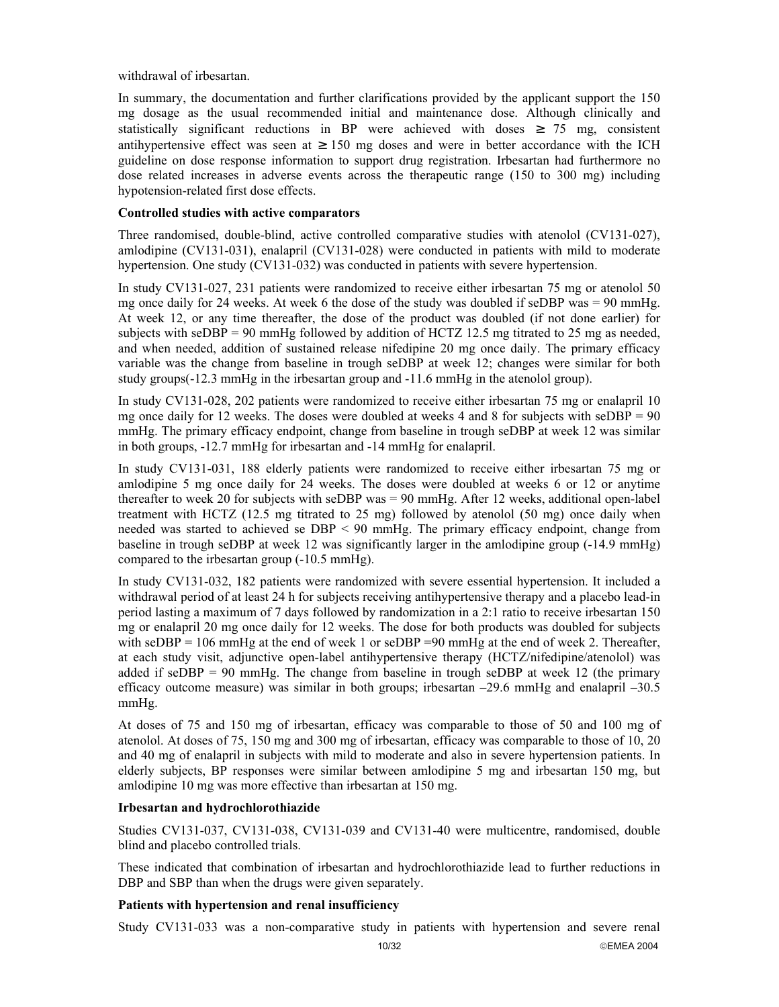withdrawal of irbesartan.

In summary, the documentation and further clarifications provided by the applicant support the 150 mg dosage as the usual recommended initial and maintenance dose. Although clinically and statistically significant reductions in BP were achieved with doses  $\geq$  75 mg, consistent antihypertensive effect was seen at  $\geq 150$  mg doses and were in better accordance with the ICH guideline on dose response information to support drug registration. Irbesartan had furthermore no dose related increases in adverse events across the therapeutic range (150 to 300 mg) including hypotension-related first dose effects.

## **Controlled studies with active comparators**

Three randomised, double-blind, active controlled comparative studies with atenolol (CV131-027), amlodipine (CV131-031), enalapril (CV131-028) were conducted in patients with mild to moderate hypertension. One study (CV131-032) was conducted in patients with severe hypertension.

In study CV131-027, 231 patients were randomized to receive either irbesartan 75 mg or atenolol 50 mg once daily for 24 weeks. At week 6 the dose of the study was doubled if seDBP was  $= 90$  mmHg. At week 12, or any time thereafter, the dose of the product was doubled (if not done earlier) for subjects with seDBP = 90 mmHg followed by addition of HCTZ 12.5 mg titrated to 25 mg as needed, and when needed, addition of sustained release nifedipine 20 mg once daily. The primary efficacy variable was the change from baseline in trough seDBP at week 12; changes were similar for both study groups(-12.3 mmHg in the irbesartan group and -11.6 mmHg in the atenolol group).

In study CV131-028, 202 patients were randomized to receive either irbesartan 75 mg or enalapril 10 mg once daily for 12 weeks. The doses were doubled at weeks 4 and 8 for subjects with  $\text{seDBP} = 90$ mmHg. The primary efficacy endpoint, change from baseline in trough seDBP at week 12 was similar in both groups, -12.7 mmHg for irbesartan and -14 mmHg for enalapril.

In study CV131-031, 188 elderly patients were randomized to receive either irbesartan 75 mg or amlodipine 5 mg once daily for 24 weeks. The doses were doubled at weeks 6 or 12 or anytime thereafter to week 20 for subjects with seDBP was = 90 mmHg. After 12 weeks, additional open-label treatment with HCTZ (12.5 mg titrated to 25 mg) followed by atenolol (50 mg) once daily when needed was started to achieved se DBP < 90 mmHg. The primary efficacy endpoint, change from baseline in trough seDBP at week 12 was significantly larger in the amlodipine group (-14.9 mmHg) compared to the irbesartan group (-10.5 mmHg).

In study CV131-032, 182 patients were randomized with severe essential hypertension. It included a withdrawal period of at least 24 h for subjects receiving antihypertensive therapy and a placebo lead-in period lasting a maximum of 7 days followed by randomization in a 2:1 ratio to receive irbesartan 150 mg or enalapril 20 mg once daily for 12 weeks. The dose for both products was doubled for subjects with  $\text{seDBP} = 106 \text{ mmHg}$  at the end of week 1 or  $\text{seDBP} = 90 \text{ mmHg}$  at the end of week 2. Thereafter, at each study visit, adjunctive open-label antihypertensive therapy (HCTZ/nifedipine/atenolol) was added if  $seDBP = 90$  mmHg. The change from baseline in trough  $seDBP$  at week 12 (the primary efficacy outcome measure) was similar in both groups; irbesartan –29.6 mmHg and enalapril –30.5 mmHg.

At doses of 75 and 150 mg of irbesartan, efficacy was comparable to those of 50 and 100 mg of atenolol. At doses of 75, 150 mg and 300 mg of irbesartan, efficacy was comparable to those of 10, 20 and 40 mg of enalapril in subjects with mild to moderate and also in severe hypertension patients. In elderly subjects, BP responses were similar between amlodipine 5 mg and irbesartan 150 mg, but amlodipine 10 mg was more effective than irbesartan at 150 mg.

### **Irbesartan and hydrochlorothiazide**

Studies CV131-037, CV131-038, CV131-039 and CV131-40 were multicentre, randomised, double blind and placebo controlled trials.

These indicated that combination of irbesartan and hydrochlorothiazide lead to further reductions in DBP and SBP than when the drugs were given separately.

# **Patients with hypertension and renal insufficiency**

Study CV131-033 was a non-comparative study in patients with hypertension and severe renal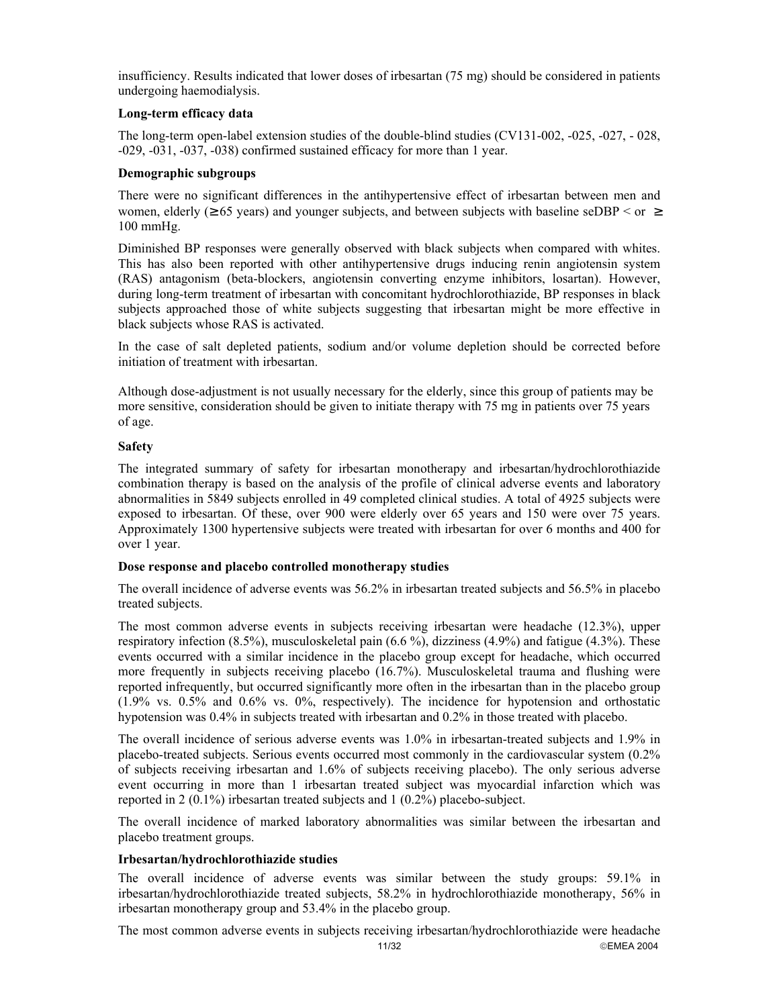insufficiency. Results indicated that lower doses of irbesartan (75 mg) should be considered in patients undergoing haemodialysis.

## **Long-term efficacy data**

The long-term open-label extension studies of the double-blind studies (CV131-002, -025, -027, - 028, -029, -031, -037, -038) confirmed sustained efficacy for more than 1 year.

## **Demographic subgroups**

There were no significant differences in the antihypertensive effect of irbesartan between men and women, elderly ( $\geq 65$  years) and younger subjects, and between subjects with baseline seDBP  $\leq$  or  $\geq$ 100 mmHg.

Diminished BP responses were generally observed with black subjects when compared with whites. This has also been reported with other antihypertensive drugs inducing renin angiotensin system (RAS) antagonism (beta-blockers, angiotensin converting enzyme inhibitors, losartan). However, during long-term treatment of irbesartan with concomitant hydrochlorothiazide, BP responses in black subjects approached those of white subjects suggesting that irbesartan might be more effective in black subjects whose RAS is activated.

In the case of salt depleted patients, sodium and/or volume depletion should be corrected before initiation of treatment with irbesartan.

Although dose-adjustment is not usually necessary for the elderly, since this group of patients may be more sensitive, consideration should be given to initiate therapy with 75 mg in patients over 75 years of age.

# **Safety**

The integrated summary of safety for irbesartan monotherapy and irbesartan/hydrochlorothiazide combination therapy is based on the analysis of the profile of clinical adverse events and laboratory abnormalities in 5849 subjects enrolled in 49 completed clinical studies. A total of 4925 subjects were exposed to irbesartan. Of these, over 900 were elderly over 65 years and 150 were over 75 years. Approximately 1300 hypertensive subjects were treated with irbesartan for over 6 months and 400 for over 1 year.

### **Dose response and placebo controlled monotherapy studies**

The overall incidence of adverse events was 56.2% in irbesartan treated subjects and 56.5% in placebo treated subjects.

The most common adverse events in subjects receiving irbesartan were headache (12.3%), upper respiratory infection  $(8.5\%)$ , musculoskeletal pain  $(6.6\%)$ , dizziness  $(4.9\%)$  and fatigue  $(4.3\%)$ . These events occurred with a similar incidence in the placebo group except for headache, which occurred more frequently in subjects receiving placebo (16.7%). Musculoskeletal trauma and flushing were reported infrequently, but occurred significantly more often in the irbesartan than in the placebo group (1.9% vs. 0.5% and 0.6% vs. 0%, respectively). The incidence for hypotension and orthostatic hypotension was 0.4% in subjects treated with irbesartan and 0.2% in those treated with placebo.

The overall incidence of serious adverse events was 1.0% in irbesartan-treated subjects and 1.9% in placebo-treated subjects. Serious events occurred most commonly in the cardiovascular system (0.2% of subjects receiving irbesartan and 1.6% of subjects receiving placebo). The only serious adverse event occurring in more than 1 irbesartan treated subject was myocardial infarction which was reported in 2 (0.1%) irbesartan treated subjects and 1 (0.2%) placebo-subject.

The overall incidence of marked laboratory abnormalities was similar between the irbesartan and placebo treatment groups.

# **Irbesartan/hydrochlorothiazide studies**

The overall incidence of adverse events was similar between the study groups: 59.1% in irbesartan/hydrochlorothiazide treated subjects, 58.2% in hydrochlorothiazide monotherapy, 56% in irbesartan monotherapy group and 53.4% in the placebo group.

11/32 EMEA 2004 The most common adverse events in subjects receiving irbesartan/hydrochlorothiazide were headache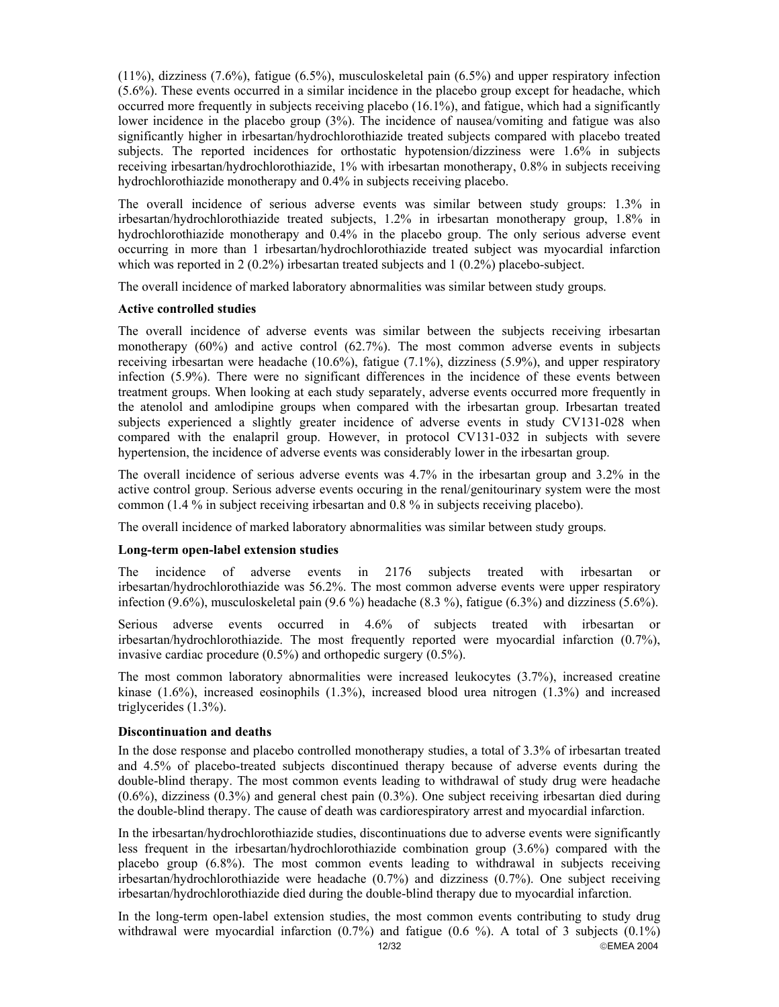(11%), dizziness (7.6%), fatigue (6.5%), musculoskeletal pain (6.5%) and upper respiratory infection (5.6%). These events occurred in a similar incidence in the placebo group except for headache, which occurred more frequently in subjects receiving placebo (16.1%), and fatigue, which had a significantly lower incidence in the placebo group (3%). The incidence of nausea/vomiting and fatigue was also significantly higher in irbesartan/hydrochlorothiazide treated subjects compared with placebo treated subjects. The reported incidences for orthostatic hypotension/dizziness were 1.6% in subjects receiving irbesartan/hydrochlorothiazide, 1% with irbesartan monotherapy, 0.8% in subjects receiving hydrochlorothiazide monotherapy and 0.4% in subjects receiving placebo.

The overall incidence of serious adverse events was similar between study groups: 1.3% in irbesartan/hydrochlorothiazide treated subjects, 1.2% in irbesartan monotherapy group, 1.8% in hydrochlorothiazide monotherapy and 0.4% in the placebo group. The only serious adverse event occurring in more than 1 irbesartan/hydrochlorothiazide treated subject was myocardial infarction which was reported in 2 (0.2%) irbesartan treated subjects and 1 (0.2%) placebo-subject.

The overall incidence of marked laboratory abnormalities was similar between study groups.

### **Active controlled studies**

The overall incidence of adverse events was similar between the subjects receiving irbesartan monotherapy (60%) and active control (62.7%). The most common adverse events in subjects receiving irbesartan were headache (10.6%), fatigue (7.1%), dizziness (5.9%), and upper respiratory infection (5.9%). There were no significant differences in the incidence of these events between treatment groups. When looking at each study separately, adverse events occurred more frequently in the atenolol and amlodipine groups when compared with the irbesartan group. Irbesartan treated subjects experienced a slightly greater incidence of adverse events in study CV131-028 when compared with the enalapril group. However, in protocol CV131-032 in subjects with severe hypertension, the incidence of adverse events was considerably lower in the irbesartan group.

The overall incidence of serious adverse events was 4.7% in the irbesartan group and 3.2% in the active control group. Serious adverse events occuring in the renal/genitourinary system were the most common (1.4 % in subject receiving irbesartan and 0.8 % in subjects receiving placebo).

The overall incidence of marked laboratory abnormalities was similar between study groups.

### **Long-term open-label extension studies**

The incidence of adverse events in 2176 subjects treated with irbesartan or irbesartan/hydrochlorothiazide was 56.2%. The most common adverse events were upper respiratory infection (9.6%), musculoskeletal pain (9.6 %) headache (8.3 %), fatigue (6.3%) and dizziness (5.6%).

Serious adverse events occurred in 4.6% of subjects treated with irbesartan or irbesartan/hydrochlorothiazide. The most frequently reported were myocardial infarction (0.7%), invasive cardiac procedure (0.5%) and orthopedic surgery (0.5%).

The most common laboratory abnormalities were increased leukocytes (3.7%), increased creatine kinase (1.6%), increased eosinophils (1.3%), increased blood urea nitrogen (1.3%) and increased triglycerides (1.3%).

#### **Discontinuation and deaths**

In the dose response and placebo controlled monotherapy studies, a total of 3.3% of irbesartan treated and 4.5% of placebo-treated subjects discontinued therapy because of adverse events during the double-blind therapy. The most common events leading to withdrawal of study drug were headache (0.6%), dizziness (0.3%) and general chest pain (0.3%). One subject receiving irbesartan died during the double-blind therapy. The cause of death was cardiorespiratory arrest and myocardial infarction.

In the irbesartan/hydrochlorothiazide studies, discontinuations due to adverse events were significantly less frequent in the irbesartan/hydrochlorothiazide combination group (3.6%) compared with the placebo group (6.8%). The most common events leading to withdrawal in subjects receiving irbesartan/hydrochlorothiazide were headache (0.7%) and dizziness (0.7%). One subject receiving irbesartan/hydrochlorothiazide died during the double-blind therapy due to myocardial infarction.

12/32 EMEA 2004 In the long-term open-label extension studies, the most common events contributing to study drug withdrawal were myocardial infarction  $(0.7\%)$  and fatigue  $(0.6\%)$ . A total of 3 subjects  $(0.1\%)$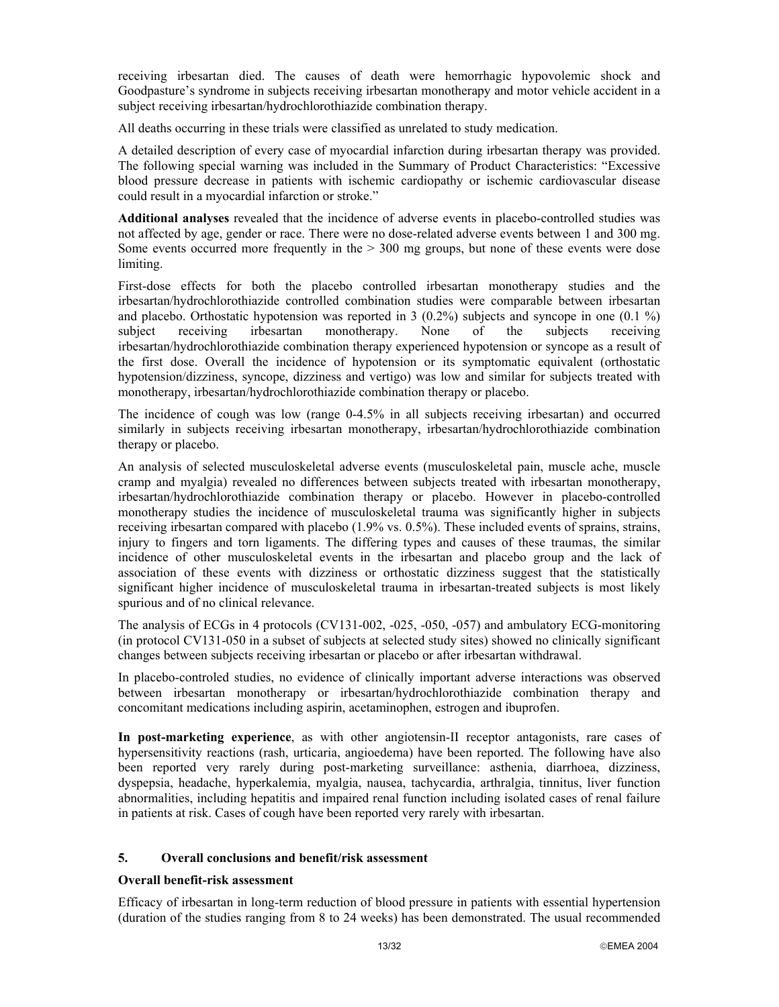receiving irbesartan died. The causes of death were hemorrhagic hypovolemic shock and Goodpasture's syndrome in subjects receiving irbesartan monotherapy and motor vehicle accident in a subject receiving irbesartan/hydrochlorothiazide combination therapy.

All deaths occurring in these trials were classified as unrelated to study medication.

A detailed description of every case of myocardial infarction during irbesartan therapy was provided. The following special warning was included in the Summary of Product Characteristics: "Excessive blood pressure decrease in patients with ischemic cardiopathy or ischemic cardiovascular disease could result in a myocardial infarction or stroke."

**Additional analyses** revealed that the incidence of adverse events in placebo-controlled studies was not affected by age, gender or race. There were no dose-related adverse events between 1 and 300 mg. Some events occurred more frequently in the  $> 300$  mg groups, but none of these events were dose limiting.

First-dose effects for both the placebo controlled irbesartan monotherapy studies and the irbesartan/hydrochlorothiazide controlled combination studies were comparable between irbesartan and placebo. Orthostatic hypotension was reported in 3  $(0.2\%)$  subjects and syncope in one  $(0.1\%)$ subject receiving irbesartan monotherapy. None of the subjects receiving irbesartan/hydrochlorothiazide combination therapy experienced hypotension or syncope as a result of the first dose. Overall the incidence of hypotension or its symptomatic equivalent (orthostatic hypotension/dizziness, syncope, dizziness and vertigo) was low and similar for subjects treated with monotherapy, irbesartan/hydrochlorothiazide combination therapy or placebo.

The incidence of cough was low (range 0-4.5% in all subjects receiving irbesartan) and occurred similarly in subjects receiving irbesartan monotherapy, irbesartan/hydrochlorothiazide combination therapy or placebo.

An analysis of selected musculoskeletal adverse events (musculoskeletal pain, muscle ache, muscle cramp and myalgia) revealed no differences between subjects treated with irbesartan monotherapy, irbesartan/hydrochlorothiazide combination therapy or placebo. However in placebo-controlled monotherapy studies the incidence of musculoskeletal trauma was significantly higher in subjects receiving irbesartan compared with placebo (1.9% vs. 0.5%). These included events of sprains, strains, injury to fingers and torn ligaments. The differing types and causes of these traumas, the similar incidence of other musculoskeletal events in the irbesartan and placebo group and the lack of association of these events with dizziness or orthostatic dizziness suggest that the statistically significant higher incidence of musculoskeletal trauma in irbesartan-treated subjects is most likely spurious and of no clinical relevance.

The analysis of ECGs in 4 protocols (CV131-002, -025, -050, -057) and ambulatory ECG-monitoring (in protocol CV131-050 in a subset of subjects at selected study sites) showed no clinically significant changes between subjects receiving irbesartan or placebo or after irbesartan withdrawal.

In placebo-controled studies, no evidence of clinically important adverse interactions was observed between irbesartan monotherapy or irbesartan/hydrochlorothiazide combination therapy and concomitant medications including aspirin, acetaminophen, estrogen and ibuprofen.

**In post-marketing experience**, as with other angiotensin-II receptor antagonists, rare cases of hypersensitivity reactions (rash, urticaria, angioedema) have been reported. The following have also been reported very rarely during post-marketing surveillance: asthenia, diarrhoea, dizziness, dyspepsia, headache, hyperkalemia, myalgia, nausea, tachycardia, arthralgia, tinnitus, liver function abnormalities, including hepatitis and impaired renal function including isolated cases of renal failure in patients at risk. Cases of cough have been reported very rarely with irbesartan.

### **5. Overall conclusions and benefit/risk assessment**

## **Overall benefit-risk assessment**

Efficacy of irbesartan in long-term reduction of blood pressure in patients with essential hypertension (duration of the studies ranging from 8 to 24 weeks) has been demonstrated. The usual recommended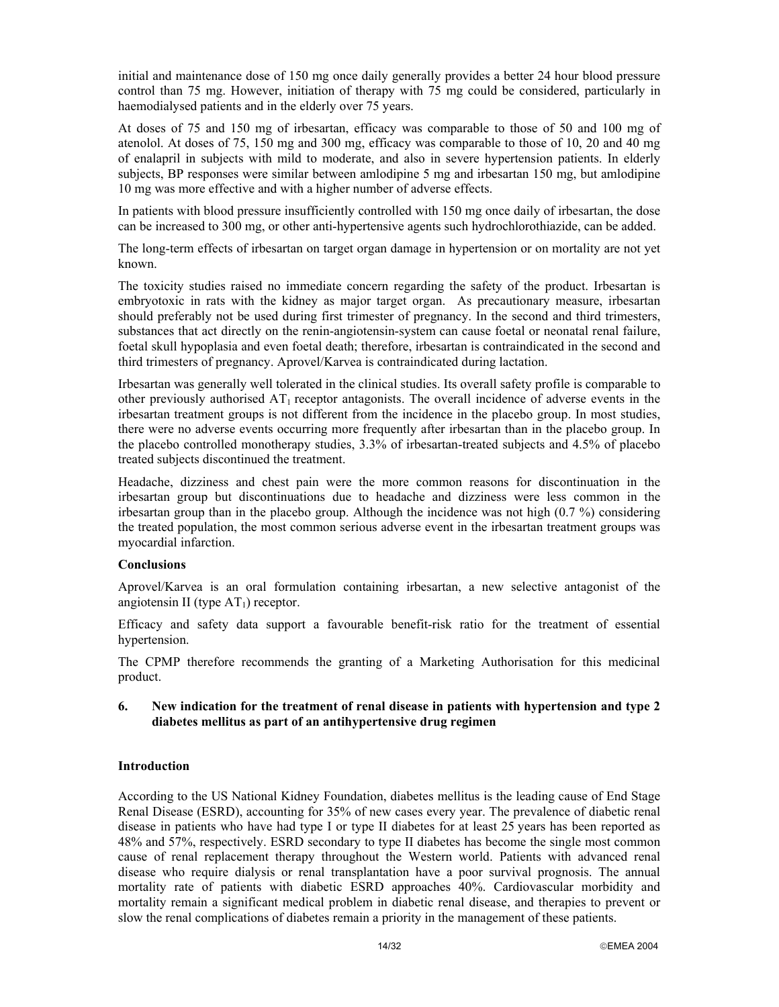initial and maintenance dose of 150 mg once daily generally provides a better 24 hour blood pressure control than 75 mg. However, initiation of therapy with 75 mg could be considered, particularly in haemodialysed patients and in the elderly over 75 years.

At doses of 75 and 150 mg of irbesartan, efficacy was comparable to those of 50 and 100 mg of atenolol. At doses of 75, 150 mg and 300 mg, efficacy was comparable to those of 10, 20 and 40 mg of enalapril in subjects with mild to moderate, and also in severe hypertension patients. In elderly subjects, BP responses were similar between amlodipine 5 mg and irbesartan 150 mg, but amlodipine 10 mg was more effective and with a higher number of adverse effects.

In patients with blood pressure insufficiently controlled with 150 mg once daily of irbesartan, the dose can be increased to 300 mg, or other anti-hypertensive agents such hydrochlorothiazide, can be added.

The long-term effects of irbesartan on target organ damage in hypertension or on mortality are not yet known.

The toxicity studies raised no immediate concern regarding the safety of the product. Irbesartan is embryotoxic in rats with the kidney as major target organ. As precautionary measure, irbesartan should preferably not be used during first trimester of pregnancy. In the second and third trimesters, substances that act directly on the renin-angiotensin-system can cause foetal or neonatal renal failure, foetal skull hypoplasia and even foetal death; therefore, irbesartan is contraindicated in the second and third trimesters of pregnancy. Aprovel/Karvea is contraindicated during lactation.

Irbesartan was generally well tolerated in the clinical studies. Its overall safety profile is comparable to other previously authorised  $AT_1$  receptor antagonists. The overall incidence of adverse events in the irbesartan treatment groups is not different from the incidence in the placebo group. In most studies, there were no adverse events occurring more frequently after irbesartan than in the placebo group. In the placebo controlled monotherapy studies, 3.3% of irbesartan-treated subjects and 4.5% of placebo treated subjects discontinued the treatment.

Headache, dizziness and chest pain were the more common reasons for discontinuation in the irbesartan group but discontinuations due to headache and dizziness were less common in the irbesartan group than in the placebo group. Although the incidence was not high (0.7 %) considering the treated population, the most common serious adverse event in the irbesartan treatment groups was myocardial infarction.

## **Conclusions**

Aprovel/Karvea is an oral formulation containing irbesartan, a new selective antagonist of the angiotensin II (type  $AT<sub>1</sub>$ ) receptor.

Efficacy and safety data support a favourable benefit-risk ratio for the treatment of essential hypertension.

The CPMP therefore recommends the granting of a Marketing Authorisation for this medicinal product.

### **6. New indication for the treatment of renal disease in patients with hypertension and type 2 diabetes mellitus as part of an antihypertensive drug regimen**

## **Introduction**

According to the US National Kidney Foundation, diabetes mellitus is the leading cause of End Stage Renal Disease (ESRD), accounting for 35% of new cases every year. The prevalence of diabetic renal disease in patients who have had type I or type II diabetes for at least 25 years has been reported as 48% and 57%, respectively. ESRD secondary to type II diabetes has become the single most common cause of renal replacement therapy throughout the Western world. Patients with advanced renal disease who require dialysis or renal transplantation have a poor survival prognosis. The annual mortality rate of patients with diabetic ESRD approaches 40%. Cardiovascular morbidity and mortality remain a significant medical problem in diabetic renal disease, and therapies to prevent or slow the renal complications of diabetes remain a priority in the management of these patients.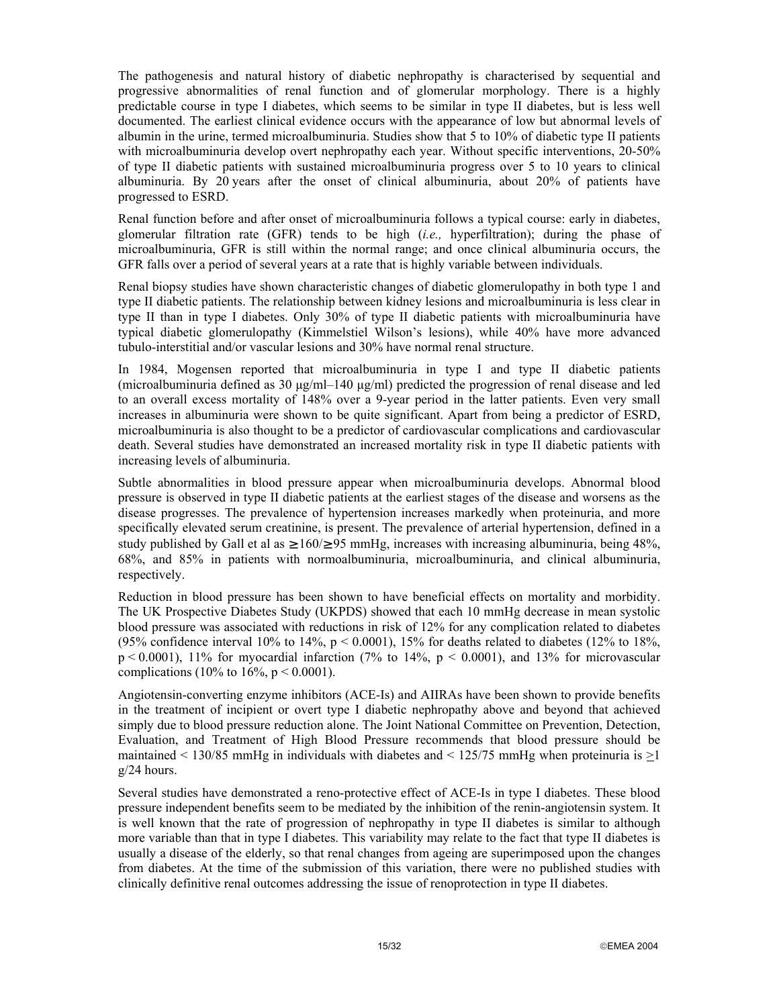The pathogenesis and natural history of diabetic nephropathy is characterised by sequential and progressive abnormalities of renal function and of glomerular morphology. There is a highly predictable course in type I diabetes, which seems to be similar in type II diabetes, but is less well documented. The earliest clinical evidence occurs with the appearance of low but abnormal levels of albumin in the urine, termed microalbuminuria. Studies show that 5 to 10% of diabetic type II patients with microalbuminuria develop overt nephropathy each year. Without specific interventions, 20-50% of type II diabetic patients with sustained microalbuminuria progress over 5 to 10 years to clinical albuminuria. By 20 years after the onset of clinical albuminuria, about 20% of patients have progressed to ESRD.

Renal function before and after onset of microalbuminuria follows a typical course: early in diabetes, glomerular filtration rate (GFR) tends to be high (*i.e.,* hyperfiltration); during the phase of microalbuminuria, GFR is still within the normal range; and once clinical albuminuria occurs, the GFR falls over a period of several years at a rate that is highly variable between individuals.

Renal biopsy studies have shown characteristic changes of diabetic glomerulopathy in both type 1 and type II diabetic patients. The relationship between kidney lesions and microalbuminuria is less clear in type II than in type I diabetes. Only 30% of type II diabetic patients with microalbuminuria have typical diabetic glomerulopathy (Kimmelstiel Wilson's lesions), while 40% have more advanced tubulo-interstitial and/or vascular lesions and 30% have normal renal structure.

In 1984, Mogensen reported that microalbuminuria in type I and type II diabetic patients (microalbuminuria defined as 30  $\mu$ g/ml–140  $\mu$ g/ml) predicted the progression of renal disease and led to an overall excess mortality of 148% over a 9-year period in the latter patients. Even very small increases in albuminuria were shown to be quite significant. Apart from being a predictor of ESRD, microalbuminuria is also thought to be a predictor of cardiovascular complications and cardiovascular death. Several studies have demonstrated an increased mortality risk in type II diabetic patients with increasing levels of albuminuria.

Subtle abnormalities in blood pressure appear when microalbuminuria develops. Abnormal blood pressure is observed in type II diabetic patients at the earliest stages of the disease and worsens as the disease progresses. The prevalence of hypertension increases markedly when proteinuria, and more specifically elevated serum creatinine, is present. The prevalence of arterial hypertension, defined in a study published by Gall et al as  $\geq 160/295$  mmHg, increases with increasing albuminuria, being 48%, 68%, and 85% in patients with normoalbuminuria, microalbuminuria, and clinical albuminuria, respectively.

Reduction in blood pressure has been shown to have beneficial effects on mortality and morbidity. The UK Prospective Diabetes Study (UKPDS) showed that each 10 mmHg decrease in mean systolic blood pressure was associated with reductions in risk of 12% for any complication related to diabetes (95% confidence interval 10% to 14%,  $p < 0.0001$ ), 15% for deaths related to diabetes (12% to 18%,  $p < 0.0001$ ), 11% for myocardial infarction (7% to 14%,  $p < 0.0001$ ), and 13% for microvascular complications (10% to 16%,  $p < 0.0001$ ).

Angiotensin-converting enzyme inhibitors (ACE-Is) and AIIRAs have been shown to provide benefits in the treatment of incipient or overt type I diabetic nephropathy above and beyond that achieved simply due to blood pressure reduction alone. The Joint National Committee on Prevention, Detection, Evaluation, and Treatment of High Blood Pressure recommends that blood pressure should be maintained  $\lt$  130/85 mmHg in individuals with diabetes and  $\lt$  125/75 mmHg when proteinuria is  $>1$ g/24 hours.

Several studies have demonstrated a reno-protective effect of ACE-Is in type I diabetes. These blood pressure independent benefits seem to be mediated by the inhibition of the renin-angiotensin system. It is well known that the rate of progression of nephropathy in type II diabetes is similar to although more variable than that in type I diabetes. This variability may relate to the fact that type II diabetes is usually a disease of the elderly, so that renal changes from ageing are superimposed upon the changes from diabetes. At the time of the submission of this variation, there were no published studies with clinically definitive renal outcomes addressing the issue of renoprotection in type II diabetes.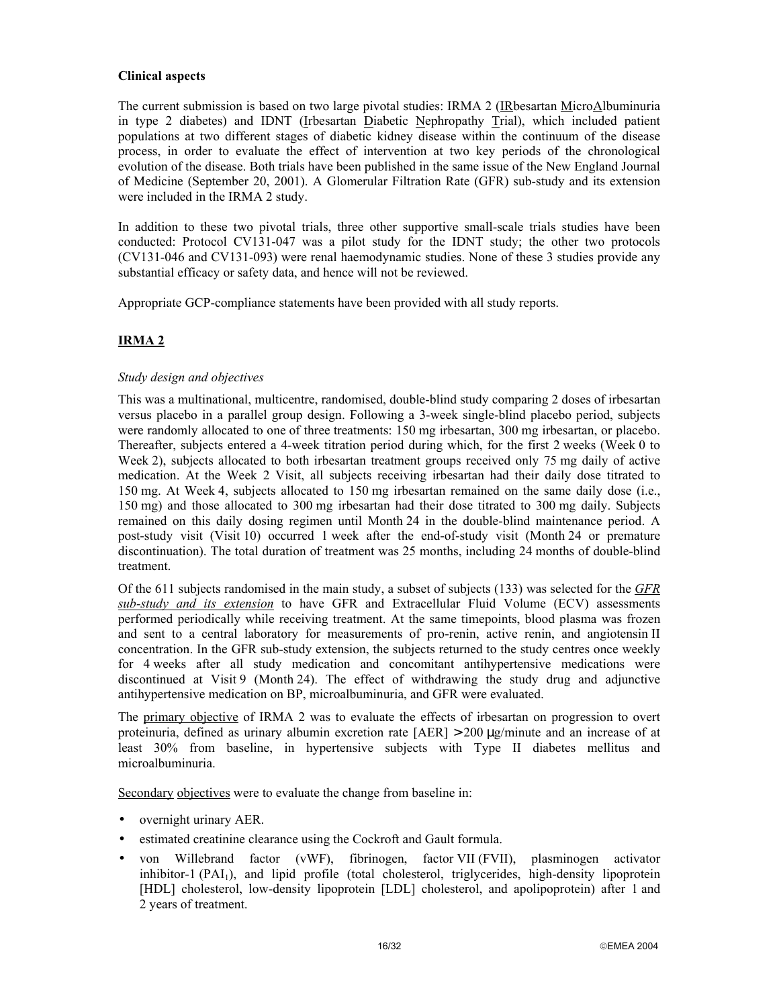# **Clinical aspects**

The current submission is based on two large pivotal studies: IRMA 2 (IRbesartan MicroAlbuminuria in type 2 diabetes) and IDNT (Irbesartan Diabetic Nephropathy Trial), which included patient populations at two different stages of diabetic kidney disease within the continuum of the disease process, in order to evaluate the effect of intervention at two key periods of the chronological evolution of the disease. Both trials have been published in the same issue of the New England Journal of Medicine (September 20, 2001). A Glomerular Filtration Rate (GFR) sub-study and its extension were included in the IRMA 2 study.

In addition to these two pivotal trials, three other supportive small-scale trials studies have been conducted: Protocol CV131-047 was a pilot study for the IDNT study; the other two protocols (CV131-046 and CV131-093) were renal haemodynamic studies. None of these 3 studies provide any substantial efficacy or safety data, and hence will not be reviewed.

Appropriate GCP-compliance statements have been provided with all study reports.

# **IRMA 2**

# *Study design and objectives*

This was a multinational, multicentre, randomised, double-blind study comparing 2 doses of irbesartan versus placebo in a parallel group design. Following a 3-week single-blind placebo period, subjects were randomly allocated to one of three treatments: 150 mg irbesartan, 300 mg irbesartan, or placebo. Thereafter, subjects entered a 4-week titration period during which, for the first 2 weeks (Week 0 to Week 2), subjects allocated to both irbesartan treatment groups received only 75 mg daily of active medication. At the Week 2 Visit, all subjects receiving irbesartan had their daily dose titrated to 150 mg. At Week 4, subjects allocated to 150 mg irbesartan remained on the same daily dose (i.e., 150 mg) and those allocated to 300 mg irbesartan had their dose titrated to 300 mg daily. Subjects remained on this daily dosing regimen until Month 24 in the double-blind maintenance period. A post-study visit (Visit 10) occurred 1 week after the end-of-study visit (Month 24 or premature discontinuation). The total duration of treatment was 25 months, including 24 months of double-blind treatment.

Of the 611 subjects randomised in the main study, a subset of subjects (133) was selected for the *GFR sub-study and its extension* to have GFR and Extracellular Fluid Volume (ECV) assessments performed periodically while receiving treatment. At the same timepoints, blood plasma was frozen and sent to a central laboratory for measurements of pro-renin, active renin, and angiotensin II concentration. In the GFR sub-study extension, the subjects returned to the study centres once weekly for 4 weeks after all study medication and concomitant antihypertensive medications were discontinued at Visit 9 (Month 24). The effect of withdrawing the study drug and adjunctive antihypertensive medication on BP, microalbuminuria, and GFR were evaluated.

The primary objective of IRMA 2 was to evaluate the effects of irbesartan on progression to overt proteinuria, defined as urinary albumin excretion rate  $[AER] > 200 \mu g/m$  inute and an increase of at least 30% from baseline, in hypertensive subjects with Type II diabetes mellitus and microalbuminuria.

Secondary objectives were to evaluate the change from baseline in:

- overnight urinary AER.
- estimated creatinine clearance using the Cockroft and Gault formula.
- von Willebrand factor (vWF), fibrinogen, factor VII (FVII), plasminogen activator inhibitor-1 (PAI<sub>1</sub>), and lipid profile (total cholesterol, triglycerides, high-density lipoprotein [HDL] cholesterol, low-density lipoprotein [LDL] cholesterol, and apolipoprotein) after 1 and 2 years of treatment.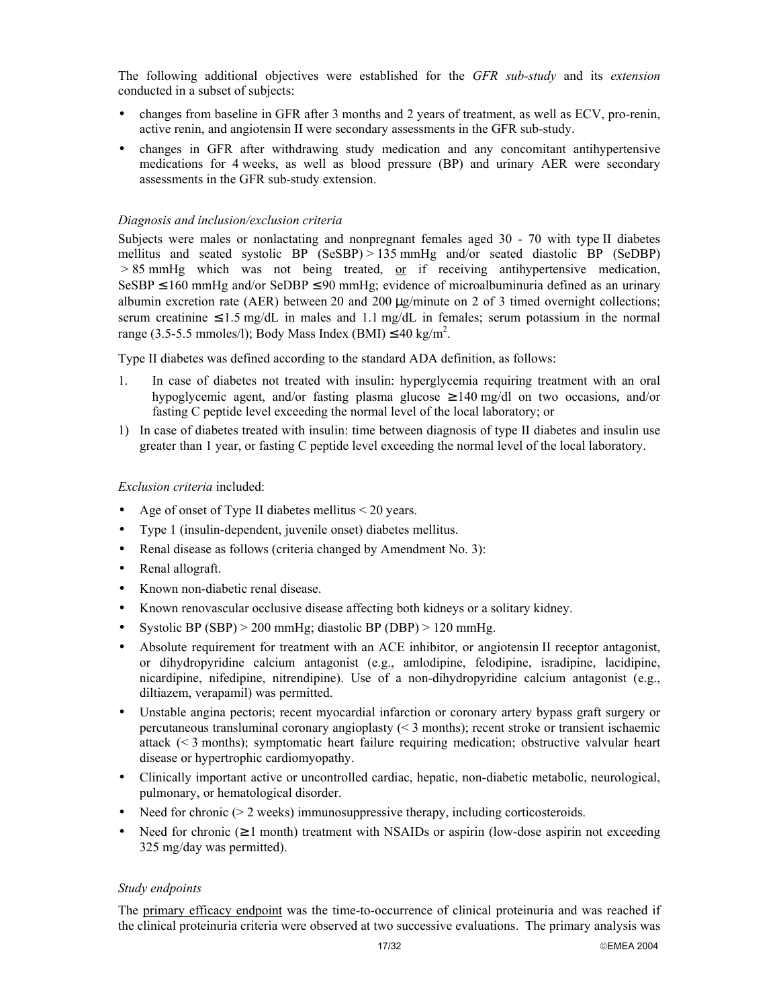The following additional objectives were established for the *GFR sub-study* and its *extension* conducted in a subset of subjects:

- changes from baseline in GFR after 3 months and 2 years of treatment, as well as ECV, pro-renin, active renin, and angiotensin II were secondary assessments in the GFR sub-study.
- changes in GFR after withdrawing study medication and any concomitant antihypertensive medications for 4 weeks, as well as blood pressure (BP) and urinary AER were secondary assessments in the GFR sub-study extension.

### *Diagnosis and inclusion/exclusion criteria*

Subjects were males or nonlactating and nonpregnant females aged 30 - 70 with type II diabetes mellitus and seated systolic BP (SeSBP) > 135 mmHg and/or seated diastolic BP (SeDBP)  $> 85$  mmHg which was not being treated, or if receiving antihypertensive medication, SeSBP  $\leq$  160 mmHg and/or SeDBP  $\leq$  90 mmHg; evidence of microalbuminuria defined as an urinary albumin excretion rate (AER) between 20 and 200 µg/minute on 2 of 3 timed overnight collections; serum creatinine  $\leq 1.5$  mg/dL in males and 1.1 mg/dL in females; serum potassium in the normal range (3.5-5.5 mmoles/l); Body Mass Index (BMI)  $\leq 40 \text{ kg/m}^2$ .

Type II diabetes was defined according to the standard ADA definition, as follows:

- 1. In case of diabetes not treated with insulin: hyperglycemia requiring treatment with an oral hypoglycemic agent, and/or fasting plasma glucose  $\geq 140$  mg/dl on two occasions, and/or fasting C peptide level exceeding the normal level of the local laboratory; or
- 1) In case of diabetes treated with insulin: time between diagnosis of type II diabetes and insulin use greater than 1 year, or fasting C peptide level exceeding the normal level of the local laboratory.

#### *Exclusion criteria* included:

- Age of onset of Type II diabetes mellitus < 20 years.
- Type 1 (insulin-dependent, juvenile onset) diabetes mellitus.
- Renal disease as follows (criteria changed by Amendment No. 3):
- Renal allograft.
- Known non-diabetic renal disease.
- Known renovascular occlusive disease affecting both kidneys or a solitary kidney.
- Systolic BP (SBP) > 200 mmHg; diastolic BP (DBP) > 120 mmHg.
- Absolute requirement for treatment with an ACE inhibitor, or angiotensin II receptor antagonist, or dihydropyridine calcium antagonist (e.g., amlodipine, felodipine, isradipine, lacidipine, nicardipine, nifedipine, nitrendipine). Use of a non-dihydropyridine calcium antagonist (e.g., diltiazem, verapamil) was permitted.
- Unstable angina pectoris; recent myocardial infarction or coronary artery bypass graft surgery or percutaneous transluminal coronary angioplasty (< 3 months); recent stroke or transient ischaemic attack (< 3 months); symptomatic heart failure requiring medication; obstructive valvular heart disease or hypertrophic cardiomyopathy.
- Clinically important active or uncontrolled cardiac, hepatic, non-diabetic metabolic, neurological, pulmonary, or hematological disorder.
- Need for chronic ( $> 2$  weeks) immunosuppressive therapy, including corticosteroids.
- Need for chronic  $(\geq 1 \text{ month})$  treatment with NSAIDs or aspirin (low-dose aspirin not exceeding 325 mg/day was permitted).

### *Study endpoints*

The primary efficacy endpoint was the time-to-occurrence of clinical proteinuria and was reached if the clinical proteinuria criteria were observed at two successive evaluations. The primary analysis was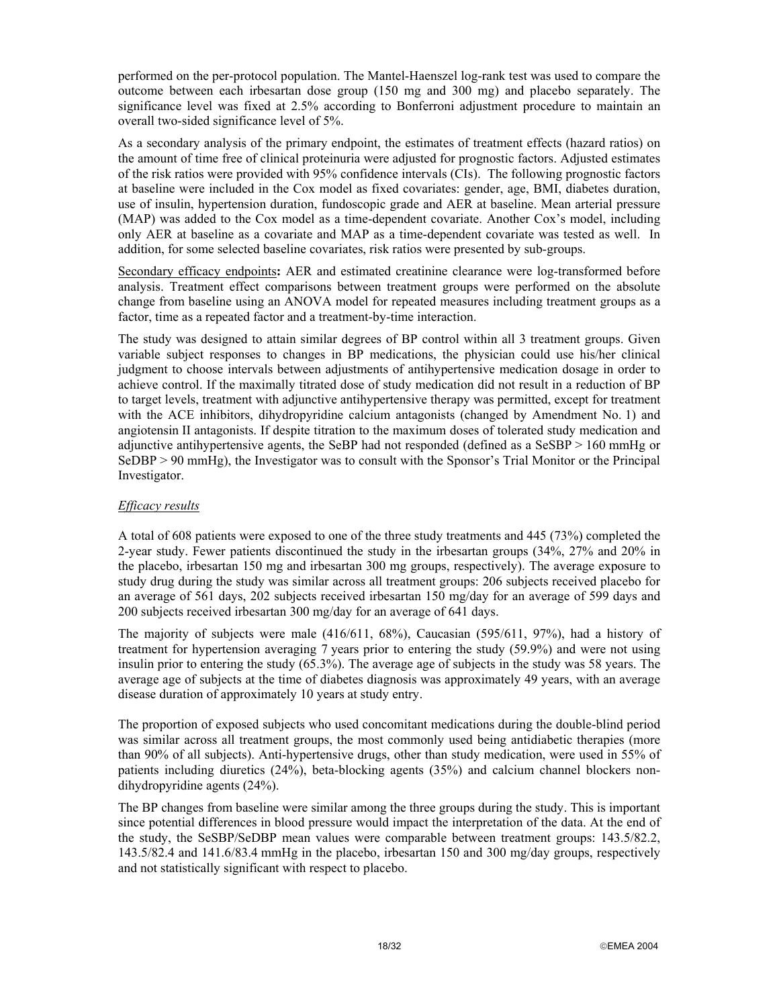performed on the per-protocol population. The Mantel-Haenszel log-rank test was used to compare the outcome between each irbesartan dose group (150 mg and 300 mg) and placebo separately. The significance level was fixed at 2.5% according to Bonferroni adjustment procedure to maintain an overall two-sided significance level of 5%.

As a secondary analysis of the primary endpoint, the estimates of treatment effects (hazard ratios) on the amount of time free of clinical proteinuria were adjusted for prognostic factors. Adjusted estimates of the risk ratios were provided with 95% confidence intervals (CIs). The following prognostic factors at baseline were included in the Cox model as fixed covariates: gender, age, BMI, diabetes duration, use of insulin, hypertension duration, fundoscopic grade and AER at baseline. Mean arterial pressure (MAP) was added to the Cox model as a time-dependent covariate. Another Cox's model, including only AER at baseline as a covariate and MAP as a time-dependent covariate was tested as well. In addition, for some selected baseline covariates, risk ratios were presented by sub-groups.

Secondary efficacy endpoints**:** AER and estimated creatinine clearance were log-transformed before analysis. Treatment effect comparisons between treatment groups were performed on the absolute change from baseline using an ANOVA model for repeated measures including treatment groups as a factor, time as a repeated factor and a treatment-by-time interaction.

The study was designed to attain similar degrees of BP control within all 3 treatment groups. Given variable subject responses to changes in BP medications, the physician could use his/her clinical judgment to choose intervals between adjustments of antihypertensive medication dosage in order to achieve control. If the maximally titrated dose of study medication did not result in a reduction of BP to target levels, treatment with adjunctive antihypertensive therapy was permitted, except for treatment with the ACE inhibitors, dihydropyridine calcium antagonists (changed by Amendment No. 1) and angiotensin II antagonists. If despite titration to the maximum doses of tolerated study medication and adjunctive antihypertensive agents, the SeBP had not responded (defined as a SeSBP > 160 mmHg or SeDBP > 90 mmHg), the Investigator was to consult with the Sponsor's Trial Monitor or the Principal Investigator.

## *Efficacy results*

A total of 608 patients were exposed to one of the three study treatments and 445 (73%) completed the 2-year study. Fewer patients discontinued the study in the irbesartan groups (34%, 27% and 20% in the placebo, irbesartan 150 mg and irbesartan 300 mg groups, respectively). The average exposure to study drug during the study was similar across all treatment groups: 206 subjects received placebo for an average of 561 days, 202 subjects received irbesartan 150 mg/day for an average of 599 days and 200 subjects received irbesartan 300 mg/day for an average of 641 days.

The majority of subjects were male (416/611, 68%), Caucasian (595/611, 97%), had a history of treatment for hypertension averaging 7 years prior to entering the study (59.9%) and were not using insulin prior to entering the study (65.3%). The average age of subjects in the study was 58 years. The average age of subjects at the time of diabetes diagnosis was approximately 49 years, with an average disease duration of approximately 10 years at study entry.

The proportion of exposed subjects who used concomitant medications during the double-blind period was similar across all treatment groups, the most commonly used being antidiabetic therapies (more than 90% of all subjects). Anti-hypertensive drugs, other than study medication, were used in 55% of patients including diuretics (24%), beta-blocking agents (35%) and calcium channel blockers nondihydropyridine agents (24%).

The BP changes from baseline were similar among the three groups during the study. This is important since potential differences in blood pressure would impact the interpretation of the data. At the end of the study, the SeSBP/SeDBP mean values were comparable between treatment groups: 143.5/82.2, 143.5/82.4 and 141.6/83.4 mmHg in the placebo, irbesartan 150 and 300 mg/day groups, respectively and not statistically significant with respect to placebo.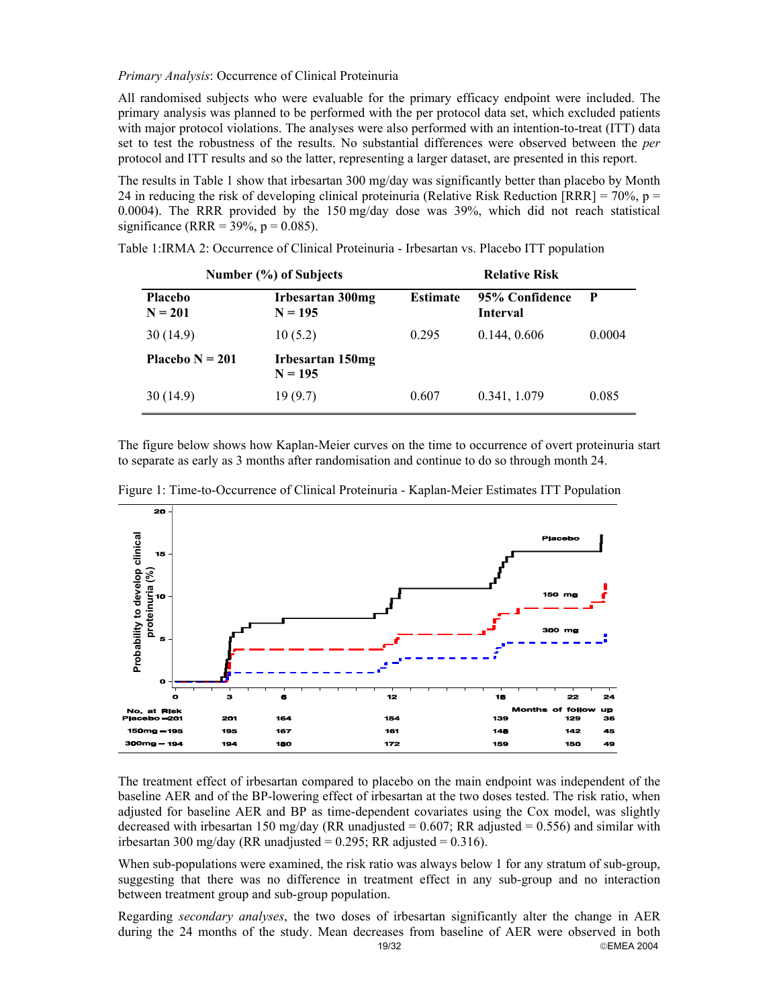*Primary Analysis*: Occurrence of Clinical Proteinuria

All randomised subjects who were evaluable for the primary efficacy endpoint were included. The primary analysis was planned to be performed with the per protocol data set, which excluded patients with major protocol violations. The analyses were also performed with an intention-to-treat (ITT) data set to test the robustness of the results. No substantial differences were observed between the *per* protocol and ITT results and so the latter, representing a larger dataset, are presented in this report.

The results in Table 1 show that irbesartan 300 mg/day was significantly better than placebo by Month 24 in reducing the risk of developing clinical proteinuria (Relative Risk Reduction [RRR] =  $70\%$ , p = 0.0004). The RRR provided by the 150 mg/day dose was 39%, which did not reach statistical significance (RRR =  $39\%$ , p = 0.085).

|                             | Number (%) of Subjects               | <b>Relative Risk</b> |                                   |             |  |
|-----------------------------|--------------------------------------|----------------------|-----------------------------------|-------------|--|
| <b>Placebo</b><br>$N = 201$ | <b>Irbesartan 300mg</b><br>$N = 195$ | <b>Estimate</b>      | 95% Confidence<br><b>Interval</b> | $\mathbf P$ |  |
| 30(14.9)                    | 10(5.2)                              | 0.295                | 0.144, 0.606                      | 0.0004      |  |
| Placebo $N = 201$           | Irbesartan 150mg<br>$N = 195$        |                      |                                   |             |  |
| 30(14.9)                    | 19(9.7)                              | 0.607                | 0.341, 1.079                      | 0.085       |  |

Table 1:IRMA 2: Occurrence of Clinical Proteinuria - Irbesartan vs. Placebo ITT population

The figure below shows how Kaplan-Meier curves on the time to occurrence of overt proteinuria start to separate as early as 3 months after randomisation and continue to do so through month 24.



Figure 1: Time-to-Occurrence of Clinical Proteinuria - Kaplan-Meier Estimates ITT Population

The treatment effect of irbesartan compared to placebo on the main endpoint was independent of the baseline AER and of the BP-lowering effect of irbesartan at the two doses tested. The risk ratio, when adjusted for baseline AER and BP as time-dependent covariates using the Cox model, was slightly decreased with irbesartan 150 mg/day (RR unadjusted  $= 0.607$ ; RR adjusted  $= 0.556$ ) and similar with irbesartan 300 mg/day (RR unadjusted =  $0.295$ ; RR adjusted =  $0.316$ ).

When sub-populations were examined, the risk ratio was always below 1 for any stratum of sub-group, suggesting that there was no difference in treatment effect in any sub-group and no interaction between treatment group and sub-group population.

19/32 EMEA 2004 Regarding *secondary analyses*, the two doses of irbesartan significantly alter the change in AER during the 24 months of the study. Mean decreases from baseline of AER were observed in both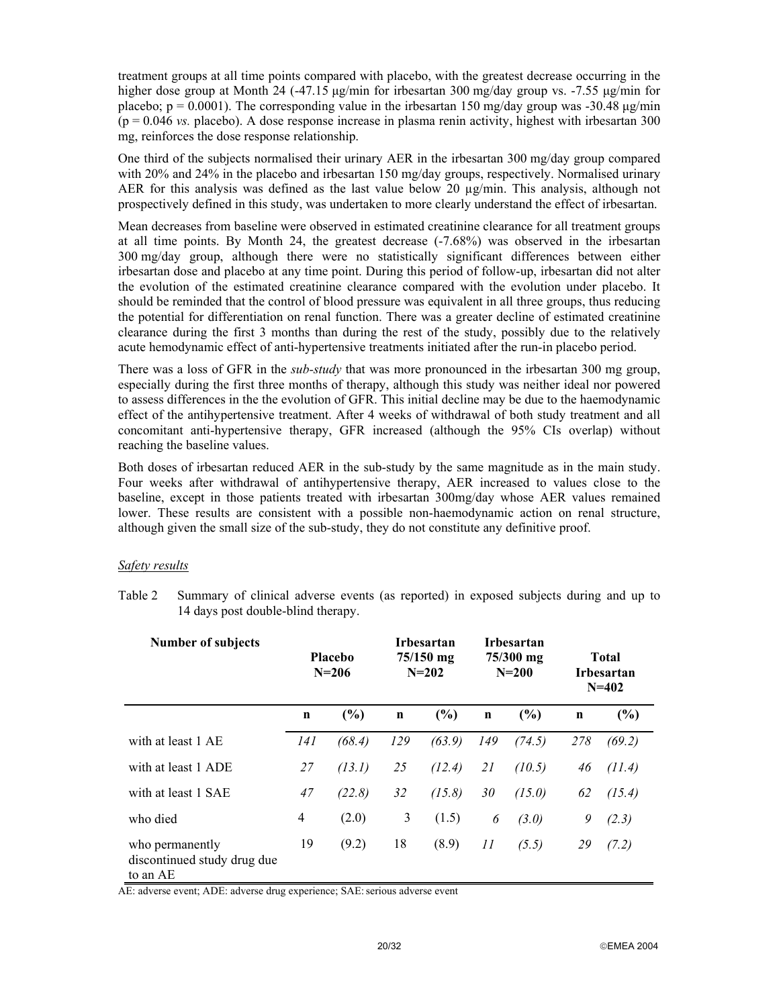treatment groups at all time points compared with placebo, with the greatest decrease occurring in the higher dose group at Month 24 (-47.15 µg/min for irbesartan 300 mg/day group vs. -7.55 µg/min for placebo;  $p = 0.0001$ ). The corresponding value in the irbesartan 150 mg/day group was -30.48  $\mu$ g/min  $(p = 0.046 \text{ vs. }$  placebo). A dose response increase in plasma renin activity, highest with irbesartan 300 mg, reinforces the dose response relationship.

One third of the subjects normalised their urinary AER in the irbesartan 300 mg/day group compared with 20% and 24% in the placebo and irbesartan 150 mg/day groups, respectively. Normalised urinary AER for this analysis was defined as the last value below 20  $\mu$ g/min. This analysis, although not prospectively defined in this study, was undertaken to more clearly understand the effect of irbesartan.

Mean decreases from baseline were observed in estimated creatinine clearance for all treatment groups at all time points. By Month 24, the greatest decrease (-7.68%) was observed in the irbesartan 300 mg/day group, although there were no statistically significant differences between either irbesartan dose and placebo at any time point. During this period of follow-up, irbesartan did not alter the evolution of the estimated creatinine clearance compared with the evolution under placebo. It should be reminded that the control of blood pressure was equivalent in all three groups, thus reducing the potential for differentiation on renal function. There was a greater decline of estimated creatinine clearance during the first 3 months than during the rest of the study, possibly due to the relatively acute hemodynamic effect of anti-hypertensive treatments initiated after the run-in placebo period.

There was a loss of GFR in the *sub-study* that was more pronounced in the irbesartan 300 mg group, especially during the first three months of therapy, although this study was neither ideal nor powered to assess differences in the the evolution of GFR. This initial decline may be due to the haemodynamic effect of the antihypertensive treatment. After 4 weeks of withdrawal of both study treatment and all concomitant anti-hypertensive therapy, GFR increased (although the 95% CIs overlap) without reaching the baseline values.

Both doses of irbesartan reduced AER in the sub-study by the same magnitude as in the main study. Four weeks after withdrawal of antihypertensive therapy, AER increased to values close to the baseline, except in those patients treated with irbesartan 300mg/day whose AER values remained lower. These results are consistent with a possible non-haemodynamic action on renal structure, although given the small size of the sub-study, they do not constitute any definitive proof.

# *Safety results*

Table 2 Summary of clinical adverse events (as reported) in exposed subjects during and up to 14 days post double-blind therapy.

| <b>Number of subjects</b>                                  | <b>Placebo</b><br>$N = 206$ |        | <b>Irbesartan</b><br>$75/150$ mg<br>$N = 202$ |        | <b>Irbesartan</b><br>75/300 mg<br>$N = 200$ |        | <b>Total</b><br><b>Irbesartan</b><br>$N = 402$ |        |
|------------------------------------------------------------|-----------------------------|--------|-----------------------------------------------|--------|---------------------------------------------|--------|------------------------------------------------|--------|
|                                                            | $\mathbf n$                 | (%)    | $\mathbf n$                                   | (%)    | $\mathbf n$                                 | (%)    | $\mathbf n$                                    | (%)    |
| with at least 1 AE                                         | 141                         | (68.4) | 129                                           | (63.9) | 149                                         | (74.5) | 278                                            | (69.2) |
| with at least 1 ADE                                        | 27                          | (13.1) | 25                                            | (12.4) | 21                                          | (10.5) | 46                                             | (11.4) |
| with at least 1 SAE                                        | 47                          | (22.8) | 32                                            | (15.8) | 30                                          | (15.0) | 62                                             | (15.4) |
| who died                                                   | 4                           | (2.0)  | 3                                             | (1.5)  | 6                                           | (3.0)  | 9                                              | (2.3)  |
| who permanently<br>discontinued study drug due<br>to an AE | 19                          | (9.2)  | 18                                            | (8.9)  | 11                                          | (5.5)  | 29                                             | (7.2)  |

AE: adverse event; ADE: adverse drug experience; SAE: serious adverse event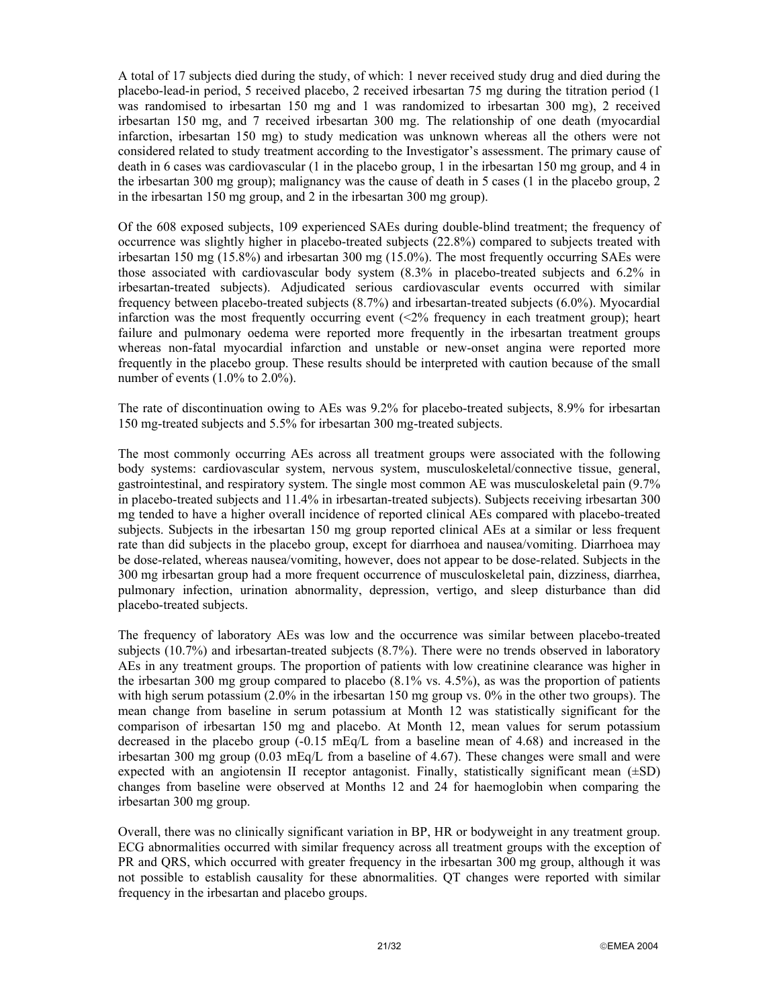A total of 17 subjects died during the study, of which: 1 never received study drug and died during the placebo-lead-in period, 5 received placebo, 2 received irbesartan 75 mg during the titration period (1 was randomised to irbesartan 150 mg and 1 was randomized to irbesartan 300 mg), 2 received irbesartan 150 mg, and 7 received irbesartan 300 mg. The relationship of one death (myocardial infarction, irbesartan 150 mg) to study medication was unknown whereas all the others were not considered related to study treatment according to the Investigator's assessment. The primary cause of death in 6 cases was cardiovascular (1 in the placebo group, 1 in the irbesartan 150 mg group, and 4 in the irbesartan 300 mg group); malignancy was the cause of death in 5 cases (1 in the placebo group, 2 in the irbesartan 150 mg group, and 2 in the irbesartan 300 mg group).

Of the 608 exposed subjects, 109 experienced SAEs during double-blind treatment; the frequency of occurrence was slightly higher in placebo-treated subjects (22.8%) compared to subjects treated with irbesartan 150 mg (15.8%) and irbesartan 300 mg (15.0%). The most frequently occurring SAEs were those associated with cardiovascular body system (8.3% in placebo-treated subjects and 6.2% in irbesartan-treated subjects). Adjudicated serious cardiovascular events occurred with similar frequency between placebo-treated subjects (8.7%) and irbesartan-treated subjects (6.0%). Myocardial infarction was the most frequently occurring event  $\langle 2\%$  frequency in each treatment group); heart failure and pulmonary oedema were reported more frequently in the irbesartan treatment groups whereas non-fatal myocardial infarction and unstable or new-onset angina were reported more frequently in the placebo group. These results should be interpreted with caution because of the small number of events (1.0% to 2.0%).

The rate of discontinuation owing to AEs was 9.2% for placebo-treated subjects, 8.9% for irbesartan 150 mg-treated subjects and 5.5% for irbesartan 300 mg-treated subjects.

The most commonly occurring AEs across all treatment groups were associated with the following body systems: cardiovascular system, nervous system, musculoskeletal/connective tissue, general, gastrointestinal, and respiratory system. The single most common AE was musculoskeletal pain (9.7% in placebo-treated subjects and 11.4% in irbesartan-treated subjects). Subjects receiving irbesartan 300 mg tended to have a higher overall incidence of reported clinical AEs compared with placebo-treated subjects. Subjects in the irbesartan 150 mg group reported clinical AEs at a similar or less frequent rate than did subjects in the placebo group, except for diarrhoea and nausea/vomiting. Diarrhoea may be dose-related, whereas nausea/vomiting, however, does not appear to be dose-related. Subjects in the 300 mg irbesartan group had a more frequent occurrence of musculoskeletal pain, dizziness, diarrhea, pulmonary infection, urination abnormality, depression, vertigo, and sleep disturbance than did placebo-treated subjects.

The frequency of laboratory AEs was low and the occurrence was similar between placebo-treated subjects (10.7%) and irbesartan-treated subjects (8.7%). There were no trends observed in laboratory AEs in any treatment groups. The proportion of patients with low creatinine clearance was higher in the irbesartan 300 mg group compared to placebo (8.1% vs. 4.5%), as was the proportion of patients with high serum potassium (2.0% in the irbesartan 150 mg group vs. 0% in the other two groups). The mean change from baseline in serum potassium at Month 12 was statistically significant for the comparison of irbesartan 150 mg and placebo. At Month 12, mean values for serum potassium decreased in the placebo group (-0.15 mEq/L from a baseline mean of 4.68) and increased in the irbesartan 300 mg group (0.03 mEq/L from a baseline of 4.67). These changes were small and were expected with an angiotensin II receptor antagonist. Finally, statistically significant mean  $(\pm SD)$ changes from baseline were observed at Months 12 and 24 for haemoglobin when comparing the irbesartan 300 mg group.

Overall, there was no clinically significant variation in BP, HR or bodyweight in any treatment group. ECG abnormalities occurred with similar frequency across all treatment groups with the exception of PR and QRS, which occurred with greater frequency in the irbesartan 300 mg group, although it was not possible to establish causality for these abnormalities. QT changes were reported with similar frequency in the irbesartan and placebo groups.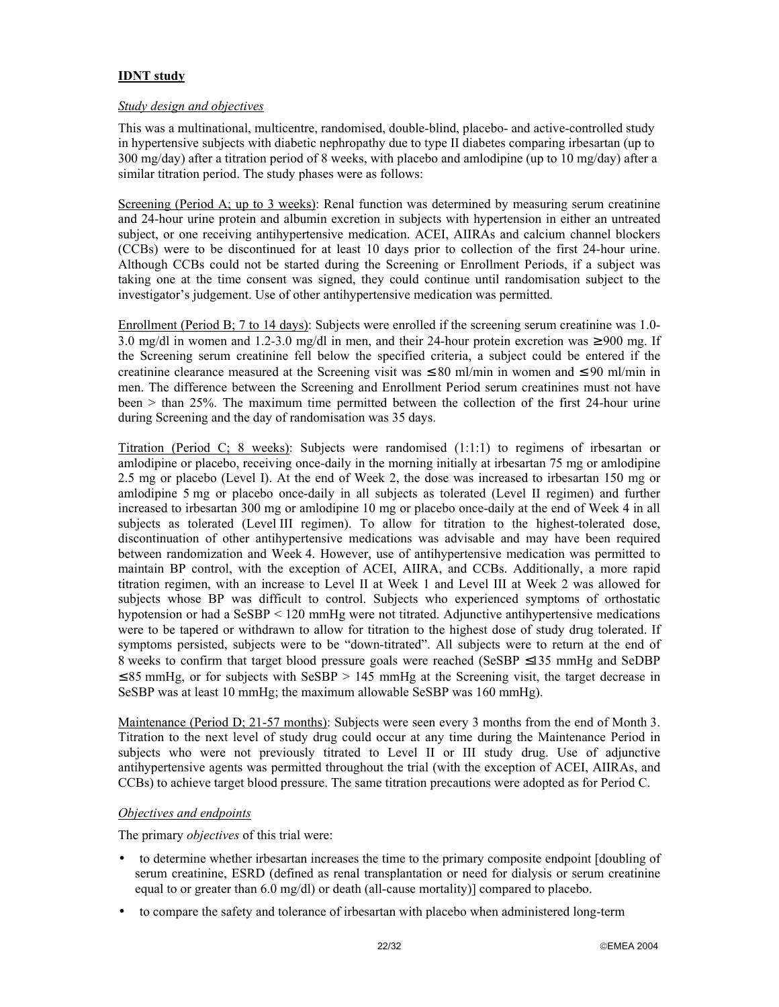# **IDNT study**

#### *Study design and objectives*

This was a multinational, multicentre, randomised, double-blind, placebo- and active-controlled study in hypertensive subjects with diabetic nephropathy due to type II diabetes comparing irbesartan (up to 300 mg/day) after a titration period of 8 weeks, with placebo and amlodipine (up to 10 mg/day) after a similar titration period. The study phases were as follows:

Screening (Period A; up to 3 weeks): Renal function was determined by measuring serum creatinine and 24-hour urine protein and albumin excretion in subjects with hypertension in either an untreated subject, or one receiving antihypertensive medication. ACEI, AIIRAs and calcium channel blockers (CCBs) were to be discontinued for at least 10 days prior to collection of the first 24-hour urine. Although CCBs could not be started during the Screening or Enrollment Periods, if a subject was taking one at the time consent was signed, they could continue until randomisation subject to the investigator's judgement. Use of other antihypertensive medication was permitted.

Enrollment (Period B; 7 to 14 days): Subjects were enrolled if the screening serum creatinine was 1.0- 3.0 mg/dl in women and 1.2-3.0 mg/dl in men, and their 24-hour protein excretion was  $\geq 900$  mg. If the Screening serum creatinine fell below the specified criteria, a subject could be entered if the creatinine clearance measured at the Screening visit was  $\leq 80$  ml/min in women and  $\leq 90$  ml/min in men. The difference between the Screening and Enrollment Period serum creatinines must not have been > than 25%. The maximum time permitted between the collection of the first 24-hour urine during Screening and the day of randomisation was 35 days.

Titration (Period C; 8 weeks): Subjects were randomised (1:1:1) to regimens of irbesartan or amlodipine or placebo, receiving once-daily in the morning initially at irbesartan 75 mg or amlodipine 2.5 mg or placebo (Level I). At the end of Week 2, the dose was increased to irbesartan 150 mg or amlodipine 5 mg or placebo once-daily in all subjects as tolerated (Level II regimen) and further increased to irbesartan 300 mg or amlodipine 10 mg or placebo once-daily at the end of Week 4 in all subjects as tolerated (Level III regimen). To allow for titration to the highest-tolerated dose, discontinuation of other antihypertensive medications was advisable and may have been required between randomization and Week 4. However, use of antihypertensive medication was permitted to maintain BP control, with the exception of ACEI, AIIRA, and CCBs. Additionally, a more rapid titration regimen, with an increase to Level II at Week 1 and Level III at Week 2 was allowed for subjects whose BP was difficult to control. Subjects who experienced symptoms of orthostatic hypotension or had a SeSBP < 120 mmHg were not titrated. Adjunctive antihypertensive medications were to be tapered or withdrawn to allow for titration to the highest dose of study drug tolerated. If symptoms persisted, subjects were to be "down-titrated". All subjects were to return at the end of 8 weeks to confirm that target blood pressure goals were reached (SeSBP ≤135 mmHg and SeDBP  $\leq$  85 mmHg, or for subjects with SeSBP > 145 mmHg at the Screening visit, the target decrease in SeSBP was at least 10 mmHg; the maximum allowable SeSBP was 160 mmHg).

Maintenance (Period D; 21-57 months): Subjects were seen every 3 months from the end of Month 3. Titration to the next level of study drug could occur at any time during the Maintenance Period in subjects who were not previously titrated to Level II or III study drug. Use of adjunctive antihypertensive agents was permitted throughout the trial (with the exception of ACEI, AIIRAs, and CCBs) to achieve target blood pressure. The same titration precautions were adopted as for Period C.

## *Objectives and endpoints*

The primary *objectives* of this trial were:

- to determine whether irbesartan increases the time to the primary composite endpoint [doubling of serum creatinine, ESRD (defined as renal transplantation or need for dialysis or serum creatinine equal to or greater than 6.0 mg/dl) or death (all-cause mortality)] compared to placebo.
- to compare the safety and tolerance of irbesartan with placebo when administered long-term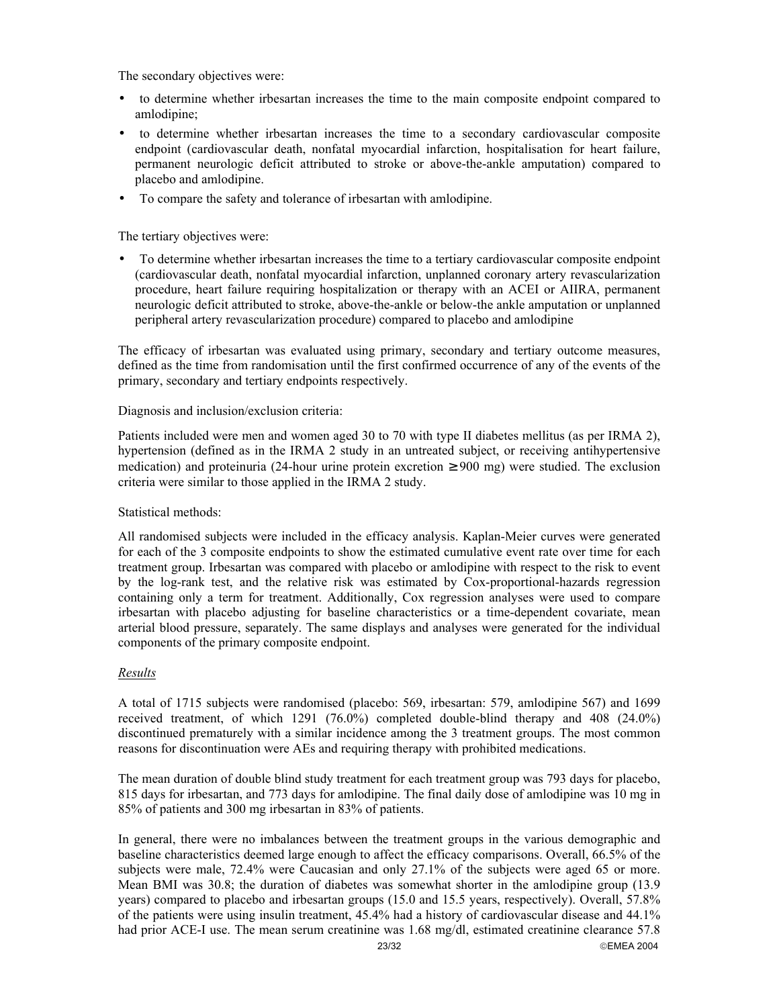The secondary objectives were:

- to determine whether irbesartan increases the time to the main composite endpoint compared to amlodipine;
- to determine whether irbesartan increases the time to a secondary cardiovascular composite endpoint (cardiovascular death, nonfatal myocardial infarction, hospitalisation for heart failure, permanent neurologic deficit attributed to stroke or above-the-ankle amputation) compared to placebo and amlodipine.
- To compare the safety and tolerance of irbesartan with amlodipine.

The tertiary objectives were:

• To determine whether irbesartan increases the time to a tertiary cardiovascular composite endpoint (cardiovascular death, nonfatal myocardial infarction, unplanned coronary artery revascularization procedure, heart failure requiring hospitalization or therapy with an ACEI or AIIRA, permanent neurologic deficit attributed to stroke, above-the-ankle or below-the ankle amputation or unplanned peripheral artery revascularization procedure) compared to placebo and amlodipine

The efficacy of irbesartan was evaluated using primary, secondary and tertiary outcome measures, defined as the time from randomisation until the first confirmed occurrence of any of the events of the primary, secondary and tertiary endpoints respectively.

### Diagnosis and inclusion/exclusion criteria:

Patients included were men and women aged 30 to 70 with type II diabetes mellitus (as per IRMA 2), hypertension (defined as in the IRMA 2 study in an untreated subject, or receiving antihypertensive medication) and proteinuria (24-hour urine protein excretion  $\geq 900$  mg) were studied. The exclusion criteria were similar to those applied in the IRMA 2 study.

# Statistical methods:

All randomised subjects were included in the efficacy analysis. Kaplan-Meier curves were generated for each of the 3 composite endpoints to show the estimated cumulative event rate over time for each treatment group. Irbesartan was compared with placebo or amlodipine with respect to the risk to event by the log-rank test, and the relative risk was estimated by Cox-proportional-hazards regression containing only a term for treatment. Additionally, Cox regression analyses were used to compare irbesartan with placebo adjusting for baseline characteristics or a time-dependent covariate, mean arterial blood pressure, separately. The same displays and analyses were generated for the individual components of the primary composite endpoint.

# *Results*

A total of 1715 subjects were randomised (placebo: 569, irbesartan: 579, amlodipine 567) and 1699 received treatment, of which 1291 (76.0%) completed double-blind therapy and 408 (24.0%) discontinued prematurely with a similar incidence among the 3 treatment groups. The most common reasons for discontinuation were AEs and requiring therapy with prohibited medications.

The mean duration of double blind study treatment for each treatment group was 793 days for placebo, 815 days for irbesartan, and 773 days for amlodipine. The final daily dose of amlodipine was 10 mg in 85% of patients and 300 mg irbesartan in 83% of patients.

23/32 **EMEA 2004** In general, there were no imbalances between the treatment groups in the various demographic and baseline characteristics deemed large enough to affect the efficacy comparisons. Overall, 66.5% of the subjects were male, 72.4% were Caucasian and only 27.1% of the subjects were aged 65 or more. Mean BMI was 30.8; the duration of diabetes was somewhat shorter in the amlodipine group (13.9 years) compared to placebo and irbesartan groups (15.0 and 15.5 years, respectively). Overall, 57.8% of the patients were using insulin treatment, 45.4% had a history of cardiovascular disease and 44.1% had prior ACE-I use. The mean serum creatinine was 1.68 mg/dl, estimated creatinine clearance 57.8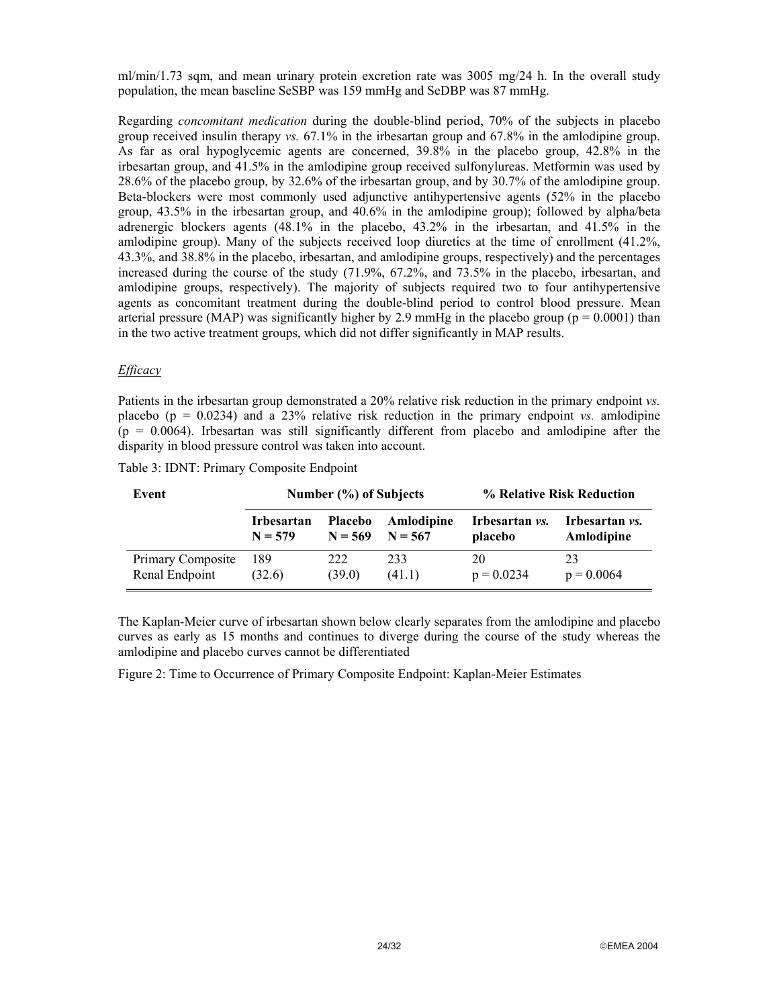ml/min/1.73 sqm, and mean urinary protein excretion rate was 3005 mg/24 h. In the overall study population, the mean baseline SeSBP was 159 mmHg and SeDBP was 87 mmHg.

Regarding *concomitant medication* during the double-blind period, 70% of the subjects in placebo group received insulin therapy *vs.* 67.1% in the irbesartan group and 67.8% in the amlodipine group. As far as oral hypoglycemic agents are concerned, 39.8% in the placebo group, 42.8% in the irbesartan group, and 41.5% in the amlodipine group received sulfonylureas. Metformin was used by 28.6% of the placebo group, by 32.6% of the irbesartan group, and by 30.7% of the amlodipine group. Beta-blockers were most commonly used adjunctive antihypertensive agents (52% in the placebo group, 43.5% in the irbesartan group, and 40.6% in the amlodipine group); followed by alpha/beta adrenergic blockers agents (48.1% in the placebo, 43.2% in the irbesartan, and 41.5% in the amlodipine group). Many of the subjects received loop diuretics at the time of enrollment (41.2%, 43.3%, and 38.8% in the placebo, irbesartan, and amlodipine groups, respectively) and the percentages increased during the course of the study (71.9%, 67.2%, and 73.5% in the placebo, irbesartan, and amlodipine groups, respectively). The majority of subjects required two to four antihypertensive agents as concomitant treatment during the double-blind period to control blood pressure. Mean arterial pressure (MAP) was significantly higher by 2.9 mmHg in the placebo group ( $p = 0.0001$ ) than in the two active treatment groups, which did not differ significantly in MAP results.

### *Efficacy*

Patients in the irbesartan group demonstrated a 20% relative risk reduction in the primary endpoint *vs.* placebo ( $p = 0.0234$ ) and a 23% relative risk reduction in the primary endpoint *vs.* amlodipine  $(p = 0.0064)$ . Irbesartan was still significantly different from placebo and amlodipine after the disparity in blood pressure control was taken into account.

| Event             | Number (%) of Subjects |           |            | % Relative Risk Reduction |                       |  |
|-------------------|------------------------|-----------|------------|---------------------------|-----------------------|--|
|                   | Irbesartan             | Placebo   | Amlodipine | Irbesartan <i>vs.</i>     | Irbesartan <i>vs.</i> |  |
|                   | $N = 579$              | $N = 569$ | $N = 567$  | placebo                   | Amlodipine            |  |
| Primary Composite | 189                    | 222       | 233        | 20                        | 23                    |  |
| Renal Endpoint    | (32.6)                 | (39.0)    | (41.1)     | $p = 0.0234$              | $p = 0.0064$          |  |

|  |  |  | Table 3: IDNT: Primary Composite Endpoint |  |
|--|--|--|-------------------------------------------|--|
|--|--|--|-------------------------------------------|--|

The Kaplan-Meier curve of irbesartan shown below clearly separates from the amlodipine and placebo curves as early as 15 months and continues to diverge during the course of the study whereas the amlodipine and placebo curves cannot be differentiated

Figure 2: Time to Occurrence of Primary Composite Endpoint: Kaplan-Meier Estimates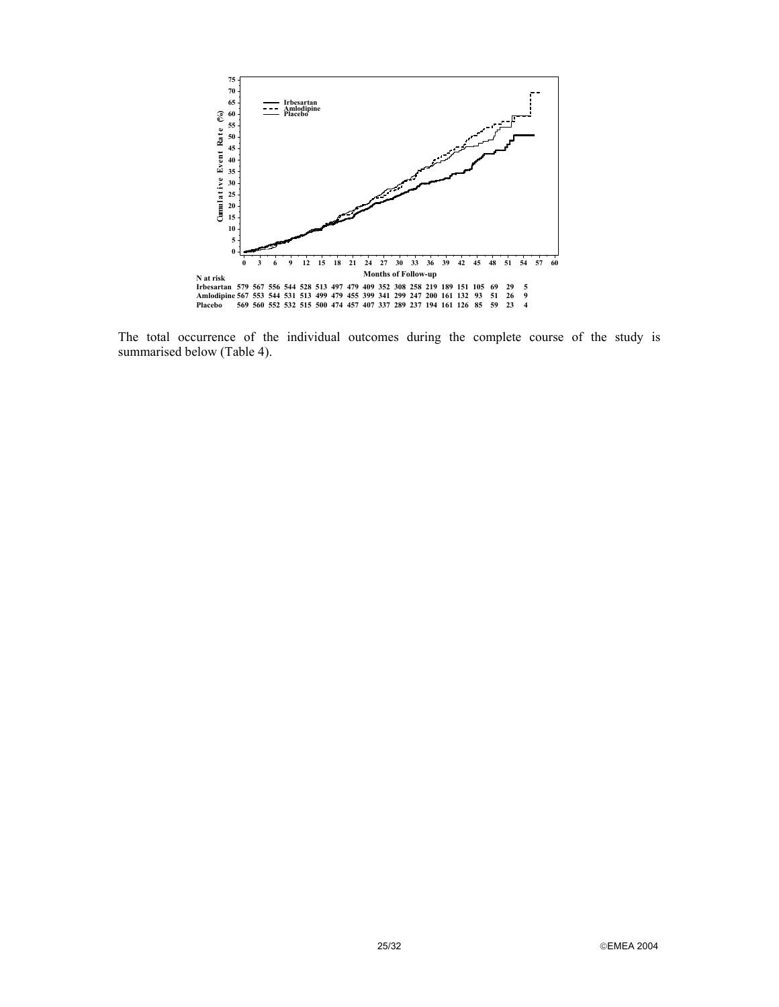

The total occurrence of the individual outcomes during the complete course of the study is summarised below (Table 4).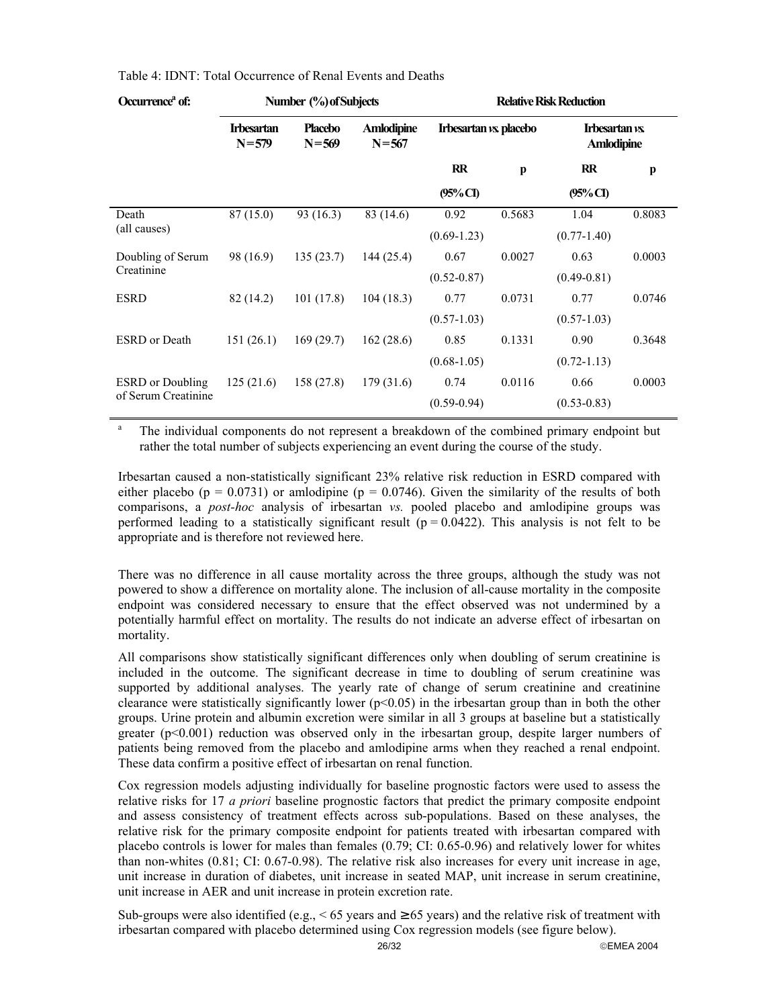| Occurrence <sup>a</sup> of: |                                | Number (%) of Subjects |                                | <b>Relative Risk Reduction</b> |              |  |
|-----------------------------|--------------------------------|------------------------|--------------------------------|--------------------------------|--------------|--|
|                             | <b>Irbesartan</b><br>$N = 579$ | Placebo<br>$N = 569$   | <b>Amlodipine</b><br>$N = 567$ | Irbesartan vs. placebo         | Irbes<br>Aml |  |

|                                                | $N = 579$ | $N = 569$  | $N = 567$ |                 |              | <b>Amlodipine</b> |        |
|------------------------------------------------|-----------|------------|-----------|-----------------|--------------|-------------------|--------|
|                                                |           |            |           | $\mathbf{R}$    | $\mathbf{p}$ | $\mathbf{R}$      | p      |
|                                                |           |            |           | $(95\%$ CI)     |              | $(95\%$ CI        |        |
| Death                                          | 87(15.0)  | 93 (16.3)  | 83 (14.6) | 0.92            | 0.5683       | 1.04              | 0.8083 |
| (all causes)                                   |           |            |           | $(0.69-1.23)$   |              | $(0.77 - 1.40)$   |        |
| Doubling of Serum                              | 98 (16.9) | 135(23.7)  | 144(25.4) | 0.67            | 0.0027       | 0.63              | 0.0003 |
| Creatinine                                     |           |            |           | $(0.52 - 0.87)$ |              | $(0.49 - 0.81)$   |        |
| <b>ESRD</b>                                    | 82 (14.2) | 101(17.8)  | 104(18.3) | 0.77            | 0.0731       | 0.77              | 0.0746 |
|                                                |           |            |           | $(0.57 - 1.03)$ |              | $(0.57 - 1.03)$   |        |
| <b>ESRD</b> or Death                           | 151(26.1) | 169(29.7)  | 162(28.6) | 0.85            | 0.1331       | 0.90              | 0.3648 |
|                                                |           |            |           | $(0.68-1.05)$   |              | $(0.72 - 1.13)$   |        |
| <b>ESRD</b> or Doubling<br>of Serum Creatinine | 125(21.6) | 158 (27.8) | 179(31.6) | 0.74            | 0.0116       | 0.66              | 0.0003 |
|                                                |           |            |           | $(0.59 - 0.94)$ |              | $(0.53 - 0.83)$   |        |

a The individual components do not represent a breakdown of the combined primary endpoint but rather the total number of subjects experiencing an event during the course of the study.

Irbesartan caused a non-statistically significant 23% relative risk reduction in ESRD compared with either placebo ( $p = 0.0731$ ) or amlodipine ( $p = 0.0746$ ). Given the similarity of the results of both comparisons, a *post-hoc* analysis of irbesartan *vs.* pooled placebo and amlodipine groups was performed leading to a statistically significant result ( $p = 0.0422$ ). This analysis is not felt to be appropriate and is therefore not reviewed here.

There was no difference in all cause mortality across the three groups, although the study was not powered to show a difference on mortality alone. The inclusion of all-cause mortality in the composite endpoint was considered necessary to ensure that the effect observed was not undermined by a potentially harmful effect on mortality. The results do not indicate an adverse effect of irbesartan on mortality.

All comparisons show statistically significant differences only when doubling of serum creatinine is included in the outcome. The significant decrease in time to doubling of serum creatinine was supported by additional analyses. The yearly rate of change of serum creatinine and creatinine clearance were statistically significantly lower ( $p<0.05$ ) in the irbesartan group than in both the other groups. Urine protein and albumin excretion were similar in all 3 groups at baseline but a statistically greater ( $p<0.001$ ) reduction was observed only in the irbesartan group, despite larger numbers of patients being removed from the placebo and amlodipine arms when they reached a renal endpoint. These data confirm a positive effect of irbesartan on renal function.

Cox regression models adjusting individually for baseline prognostic factors were used to assess the relative risks for 17 *a priori* baseline prognostic factors that predict the primary composite endpoint and assess consistency of treatment effects across sub-populations. Based on these analyses, the relative risk for the primary composite endpoint for patients treated with irbesartan compared with placebo controls is lower for males than females (0.79; CI: 0.65-0.96) and relatively lower for whites than non-whites (0.81; CI: 0.67-0.98). The relative risk also increases for every unit increase in age, unit increase in duration of diabetes, unit increase in seated MAP, unit increase in serum creatinine, unit increase in AER and unit increase in protein excretion rate.

Sub-groups were also identified (e.g.,  $\leq 65$  years and  $\geq 65$  years) and the relative risk of treatment with irbesartan compared with placebo determined using Cox regression models (see figure below).

**Irbesartan** *vs.* **placebo Irbesartan** *vs.*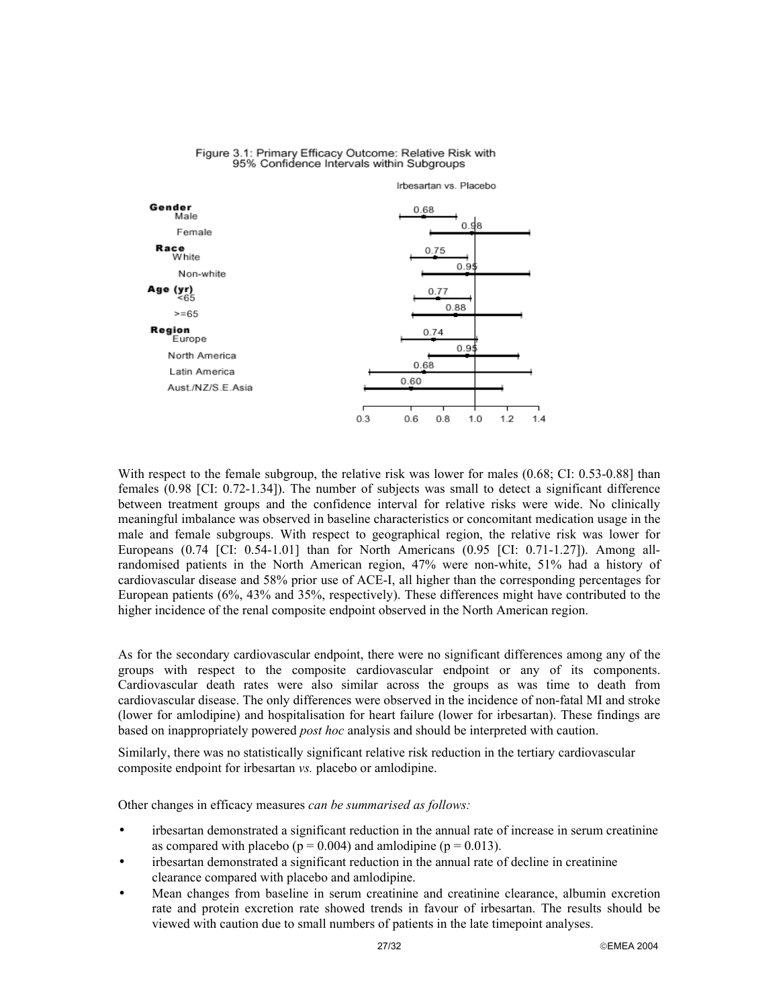



With respect to the female subgroup, the relative risk was lower for males (0.68; CI: 0.53-0.88] than females (0.98 [CI: 0.72-1.34]). The number of subjects was small to detect a significant difference between treatment groups and the confidence interval for relative risks were wide. No clinically meaningful imbalance was observed in baseline characteristics or concomitant medication usage in the male and female subgroups. With respect to geographical region, the relative risk was lower for Europeans (0.74 [CI: 0.54-1.01] than for North Americans (0.95 [CI: 0.71-1.27]). Among allrandomised patients in the North American region, 47% were non-white, 51% had a history of cardiovascular disease and 58% prior use of ACE-I, all higher than the corresponding percentages for European patients (6%, 43% and 35%, respectively). These differences might have contributed to the higher incidence of the renal composite endpoint observed in the North American region.

As for the secondary cardiovascular endpoint, there were no significant differences among any of the groups with respect to the composite cardiovascular endpoint or any of its components. Cardiovascular death rates were also similar across the groups as was time to death from cardiovascular disease. The only differences were observed in the incidence of non-fatal MI and stroke (lower for amlodipine) and hospitalisation for heart failure (lower for irbesartan). These findings are based on inappropriately powered *post hoc* analysis and should be interpreted with caution.

Similarly, there was no statistically significant relative risk reduction in the tertiary cardiovascular composite endpoint for irbesartan *vs.* placebo or amlodipine.

Other changes in efficacy measures *can be summarised as follows:*

- irbesartan demonstrated a significant reduction in the annual rate of increase in serum creatinine as compared with placebo ( $p = 0.004$ ) and amlodipine ( $p = 0.013$ ).
- irbesartan demonstrated a significant reduction in the annual rate of decline in creatinine clearance compared with placebo and amlodipine.
- Mean changes from baseline in serum creatinine and creatinine clearance, albumin excretion rate and protein excretion rate showed trends in favour of irbesartan. The results should be viewed with caution due to small numbers of patients in the late timepoint analyses.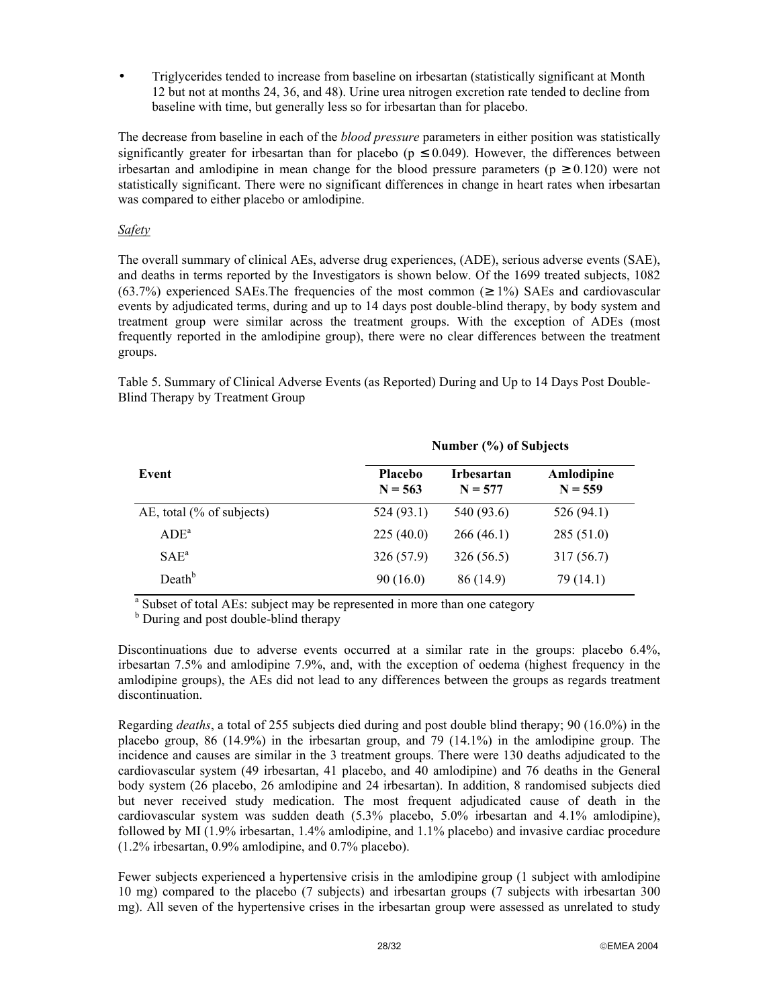• Triglycerides tended to increase from baseline on irbesartan (statistically significant at Month 12 but not at months 24, 36, and 48). Urine urea nitrogen excretion rate tended to decline from baseline with time, but generally less so for irbesartan than for placebo.

The decrease from baseline in each of the *blood pressure* parameters in either position was statistically significantly greater for irbesartan than for placebo ( $p \le 0.049$ ). However, the differences between irbesartan and amlodipine in mean change for the blood pressure parameters ( $p \ge 0.120$ ) were not statistically significant. There were no significant differences in change in heart rates when irbesartan was compared to either placebo or amlodipine.

# *Safety*

The overall summary of clinical AEs, adverse drug experiences, (ADE), serious adverse events (SAE), and deaths in terms reported by the Investigators is shown below. Of the 1699 treated subjects, 1082 (63.7%) experienced SAEs. The frequencies of the most common ( $\geq$  1%) SAEs and cardiovascular events by adjudicated terms, during and up to 14 days post double-blind therapy, by body system and treatment group were similar across the treatment groups. With the exception of ADEs (most frequently reported in the amlodipine group), there were no clear differences between the treatment groups.

Table 5. Summary of Clinical Adverse Events (as Reported) During and Up to 14 Days Post Double-Blind Therapy by Treatment Group

|                              | Number (%) of Subjects      |                                |                         |  |  |  |
|------------------------------|-----------------------------|--------------------------------|-------------------------|--|--|--|
| Event                        | <b>Placebo</b><br>$N = 563$ | <b>Irbesartan</b><br>$N = 577$ | Amlodipine<br>$N = 559$ |  |  |  |
| AE, total $(\%$ of subjects) | 524(93.1)                   | 540 (93.6)                     | 526(94.1)               |  |  |  |
| $ADE^a$                      | 225(40.0)                   | 266(46.1)                      | 285(51.0)               |  |  |  |
| $SAE^a$                      | 326(57.9)                   | 326(56.5)                      | 317(56.7)               |  |  |  |
| Death <sup>b</sup>           | 90(16.0)                    | 86 (14.9)                      | 79 (14.1)               |  |  |  |

<sup>a</sup> Subset of total AEs: subject may be represented in more than one category

<sup>b</sup> During and post double-blind therapy

Discontinuations due to adverse events occurred at a similar rate in the groups: placebo 6.4%, irbesartan 7.5% and amlodipine 7.9%, and, with the exception of oedema (highest frequency in the amlodipine groups), the AEs did not lead to any differences between the groups as regards treatment discontinuation.

Regarding *deaths*, a total of 255 subjects died during and post double blind therapy; 90 (16.0%) in the placebo group, 86 (14.9%) in the irbesartan group, and 79 (14.1%) in the amlodipine group. The incidence and causes are similar in the 3 treatment groups. There were 130 deaths adjudicated to the cardiovascular system (49 irbesartan, 41 placebo, and 40 amlodipine) and 76 deaths in the General body system (26 placebo, 26 amlodipine and 24 irbesartan). In addition, 8 randomised subjects died but never received study medication. The most frequent adjudicated cause of death in the cardiovascular system was sudden death (5.3% placebo, 5.0% irbesartan and 4.1% amlodipine), followed by MI (1.9% irbesartan, 1.4% amlodipine, and 1.1% placebo) and invasive cardiac procedure (1.2% irbesartan, 0.9% amlodipine, and 0.7% placebo).

Fewer subjects experienced a hypertensive crisis in the amlodipine group (1 subject with amlodipine 10 mg) compared to the placebo (7 subjects) and irbesartan groups (7 subjects with irbesartan 300 mg). All seven of the hypertensive crises in the irbesartan group were assessed as unrelated to study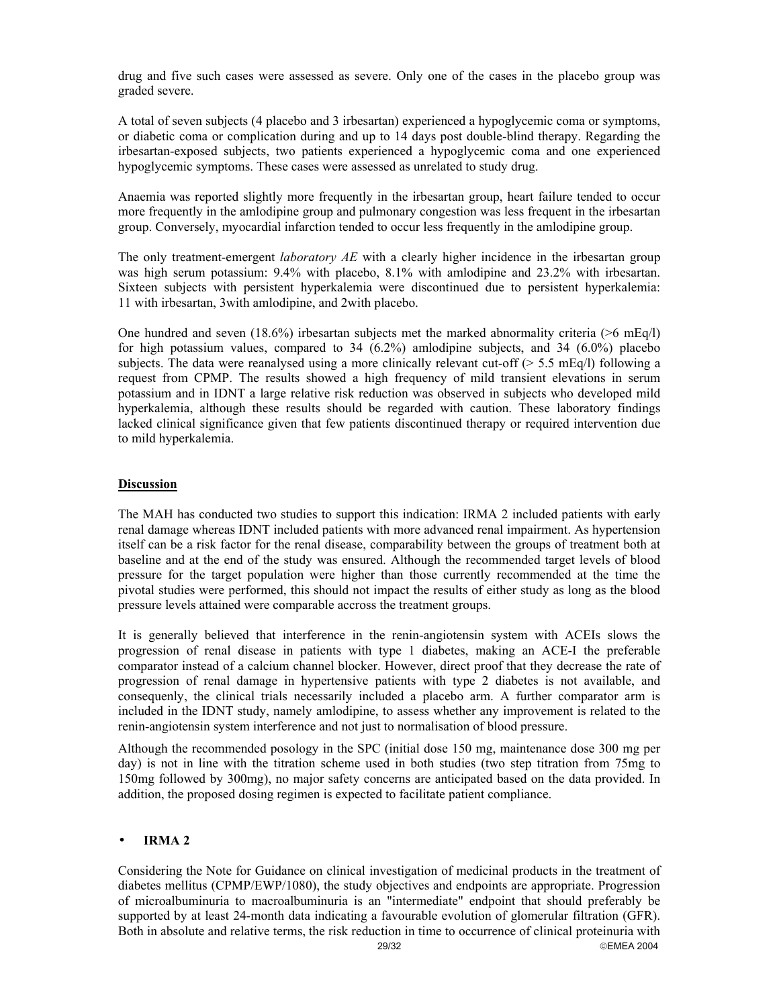drug and five such cases were assessed as severe. Only one of the cases in the placebo group was graded severe.

A total of seven subjects (4 placebo and 3 irbesartan) experienced a hypoglycemic coma or symptoms, or diabetic coma or complication during and up to 14 days post double-blind therapy. Regarding the irbesartan-exposed subjects, two patients experienced a hypoglycemic coma and one experienced hypoglycemic symptoms. These cases were assessed as unrelated to study drug.

Anaemia was reported slightly more frequently in the irbesartan group, heart failure tended to occur more frequently in the amlodipine group and pulmonary congestion was less frequent in the irbesartan group. Conversely, myocardial infarction tended to occur less frequently in the amlodipine group.

The only treatment-emergent *laboratory AE* with a clearly higher incidence in the irbesartan group was high serum potassium: 9.4% with placebo, 8.1% with amlodipine and 23.2% with irbesartan. Sixteen subjects with persistent hyperkalemia were discontinued due to persistent hyperkalemia: 11 with irbesartan, 3with amlodipine, and 2with placebo.

One hundred and seven (18.6%) irbesartan subjects met the marked abnormality criteria (>6 mEq/l) for high potassium values, compared to  $34$  (6.2%) amlodipine subjects, and  $34$  (6.0%) placebo subjects. The data were reanalysed using a more clinically relevant cut-off ( $> 5.5$  mEq/l) following a request from CPMP. The results showed a high frequency of mild transient elevations in serum potassium and in IDNT a large relative risk reduction was observed in subjects who developed mild hyperkalemia, although these results should be regarded with caution. These laboratory findings lacked clinical significance given that few patients discontinued therapy or required intervention due to mild hyperkalemia.

### **Discussion**

The MAH has conducted two studies to support this indication: IRMA 2 included patients with early renal damage whereas IDNT included patients with more advanced renal impairment. As hypertension itself can be a risk factor for the renal disease, comparability between the groups of treatment both at baseline and at the end of the study was ensured. Although the recommended target levels of blood pressure for the target population were higher than those currently recommended at the time the pivotal studies were performed, this should not impact the results of either study as long as the blood pressure levels attained were comparable accross the treatment groups.

It is generally believed that interference in the renin-angiotensin system with ACEIs slows the progression of renal disease in patients with type 1 diabetes, making an ACE-I the preferable comparator instead of a calcium channel blocker. However, direct proof that they decrease the rate of progression of renal damage in hypertensive patients with type 2 diabetes is not available, and consequenly, the clinical trials necessarily included a placebo arm. A further comparator arm is included in the IDNT study, namely amlodipine, to assess whether any improvement is related to the renin-angiotensin system interference and not just to normalisation of blood pressure.

Although the recommended posology in the SPC (initial dose 150 mg, maintenance dose 300 mg per day) is not in line with the titration scheme used in both studies (two step titration from 75mg to 150mg followed by 300mg), no major safety concerns are anticipated based on the data provided. In addition, the proposed dosing regimen is expected to facilitate patient compliance.

### • **IRMA 2**

29/32 EMEA 2004 Considering the Note for Guidance on clinical investigation of medicinal products in the treatment of diabetes mellitus (CPMP/EWP/1080), the study objectives and endpoints are appropriate. Progression of microalbuminuria to macroalbuminuria is an "intermediate" endpoint that should preferably be supported by at least 24-month data indicating a favourable evolution of glomerular filtration (GFR). Both in absolute and relative terms, the risk reduction in time to occurrence of clinical proteinuria with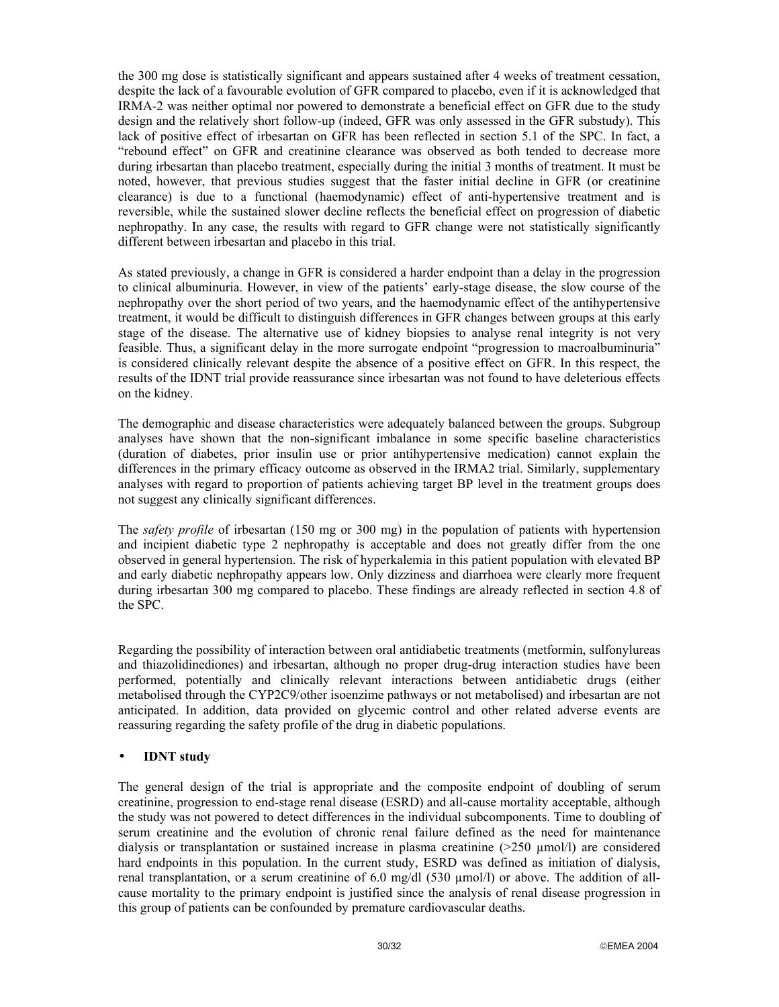the 300 mg dose is statistically significant and appears sustained after 4 weeks of treatment cessation, despite the lack of a favourable evolution of GFR compared to placebo, even if it is acknowledged that IRMA-2 was neither optimal nor powered to demonstrate a beneficial effect on GFR due to the study design and the relatively short follow-up (indeed, GFR was only assessed in the GFR substudy). This lack of positive effect of irbesartan on GFR has been reflected in section 5.1 of the SPC. In fact, a "rebound effect" on GFR and creatinine clearance was observed as both tended to decrease more during irbesartan than placebo treatment, especially during the initial 3 months of treatment. It must be noted, however, that previous studies suggest that the faster initial decline in GFR (or creatinine clearance) is due to a functional (haemodynamic) effect of anti-hypertensive treatment and is reversible, while the sustained slower decline reflects the beneficial effect on progression of diabetic nephropathy. In any case, the results with regard to GFR change were not statistically significantly different between irbesartan and placebo in this trial.

As stated previously, a change in GFR is considered a harder endpoint than a delay in the progression to clinical albuminuria. However, in view of the patients' early-stage disease, the slow course of the nephropathy over the short period of two years, and the haemodynamic effect of the antihypertensive treatment, it would be difficult to distinguish differences in GFR changes between groups at this early stage of the disease. The alternative use of kidney biopsies to analyse renal integrity is not very feasible. Thus, a significant delay in the more surrogate endpoint "progression to macroalbuminuria" is considered clinically relevant despite the absence of a positive effect on GFR. In this respect, the results of the IDNT trial provide reassurance since irbesartan was not found to have deleterious effects on the kidney.

The demographic and disease characteristics were adequately balanced between the groups. Subgroup analyses have shown that the non-significant imbalance in some specific baseline characteristics (duration of diabetes, prior insulin use or prior antihypertensive medication) cannot explain the differences in the primary efficacy outcome as observed in the IRMA2 trial. Similarly, supplementary analyses with regard to proportion of patients achieving target BP level in the treatment groups does not suggest any clinically significant differences.

The *safety profile* of irbesartan (150 mg or 300 mg) in the population of patients with hypertension and incipient diabetic type 2 nephropathy is acceptable and does not greatly differ from the one observed in general hypertension. The risk of hyperkalemia in this patient population with elevated BP and early diabetic nephropathy appears low. Only dizziness and diarrhoea were clearly more frequent during irbesartan 300 mg compared to placebo. These findings are already reflected in section 4.8 of the SPC.

Regarding the possibility of interaction between oral antidiabetic treatments (metformin, sulfonylureas and thiazolidinediones) and irbesartan, although no proper drug-drug interaction studies have been performed, potentially and clinically relevant interactions between antidiabetic drugs (either metabolised through the CYP2C9/other isoenzime pathways or not metabolised) and irbesartan are not anticipated. In addition, data provided on glycemic control and other related adverse events are reassuring regarding the safety profile of the drug in diabetic populations.

# • **IDNT study**

The general design of the trial is appropriate and the composite endpoint of doubling of serum creatinine, progression to end-stage renal disease (ESRD) and all-cause mortality acceptable, although the study was not powered to detect differences in the individual subcomponents. Time to doubling of serum creatinine and the evolution of chronic renal failure defined as the need for maintenance dialysis or transplantation or sustained increase in plasma creatinine  $(>=250 \mu mol/l)$  are considered hard endpoints in this population. In the current study, ESRD was defined as initiation of dialysis, renal transplantation, or a serum creatinine of 6.0 mg/dl (530 µmol/l) or above. The addition of allcause mortality to the primary endpoint is justified since the analysis of renal disease progression in this group of patients can be confounded by premature cardiovascular deaths.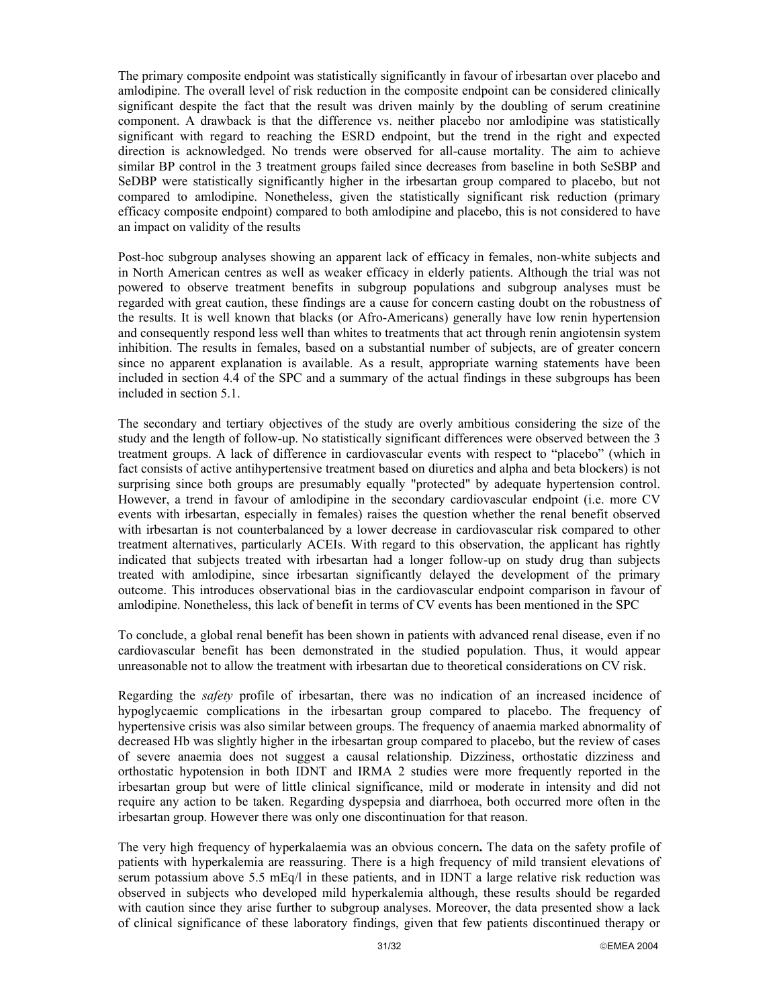The primary composite endpoint was statistically significantly in favour of irbesartan over placebo and amlodipine. The overall level of risk reduction in the composite endpoint can be considered clinically significant despite the fact that the result was driven mainly by the doubling of serum creatinine component. A drawback is that the difference vs. neither placebo nor amlodipine was statistically significant with regard to reaching the ESRD endpoint, but the trend in the right and expected direction is acknowledged. No trends were observed for all-cause mortality. The aim to achieve similar BP control in the 3 treatment groups failed since decreases from baseline in both SeSBP and SeDBP were statistically significantly higher in the irbesartan group compared to placebo, but not compared to amlodipine. Nonetheless, given the statistically significant risk reduction (primary efficacy composite endpoint) compared to both amlodipine and placebo, this is not considered to have an impact on validity of the results

Post-hoc subgroup analyses showing an apparent lack of efficacy in females, non-white subjects and in North American centres as well as weaker efficacy in elderly patients. Although the trial was not powered to observe treatment benefits in subgroup populations and subgroup analyses must be regarded with great caution, these findings are a cause for concern casting doubt on the robustness of the results. It is well known that blacks (or Afro-Americans) generally have low renin hypertension and consequently respond less well than whites to treatments that act through renin angiotensin system inhibition. The results in females, based on a substantial number of subjects, are of greater concern since no apparent explanation is available. As a result, appropriate warning statements have been included in section 4.4 of the SPC and a summary of the actual findings in these subgroups has been included in section 5.1.

The secondary and tertiary objectives of the study are overly ambitious considering the size of the study and the length of follow-up. No statistically significant differences were observed between the 3 treatment groups. A lack of difference in cardiovascular events with respect to "placebo" (which in fact consists of active antihypertensive treatment based on diuretics and alpha and beta blockers) is not surprising since both groups are presumably equally "protected" by adequate hypertension control. However, a trend in favour of amlodipine in the secondary cardiovascular endpoint (i.e. more CV events with irbesartan, especially in females) raises the question whether the renal benefit observed with irbesartan is not counterbalanced by a lower decrease in cardiovascular risk compared to other treatment alternatives, particularly ACEIs. With regard to this observation, the applicant has rightly indicated that subjects treated with irbesartan had a longer follow-up on study drug than subjects treated with amlodipine, since irbesartan significantly delayed the development of the primary outcome. This introduces observational bias in the cardiovascular endpoint comparison in favour of amlodipine. Nonetheless, this lack of benefit in terms of CV events has been mentioned in the SPC

To conclude, a global renal benefit has been shown in patients with advanced renal disease, even if no cardiovascular benefit has been demonstrated in the studied population. Thus, it would appear unreasonable not to allow the treatment with irbesartan due to theoretical considerations on CV risk.

Regarding the *safety* profile of irbesartan, there was no indication of an increased incidence of hypoglycaemic complications in the irbesartan group compared to placebo. The frequency of hypertensive crisis was also similar between groups. The frequency of anaemia marked abnormality of decreased Hb was slightly higher in the irbesartan group compared to placebo, but the review of cases of severe anaemia does not suggest a causal relationship. Dizziness, orthostatic dizziness and orthostatic hypotension in both IDNT and IRMA 2 studies were more frequently reported in the irbesartan group but were of little clinical significance, mild or moderate in intensity and did not require any action to be taken. Regarding dyspepsia and diarrhoea, both occurred more often in the irbesartan group. However there was only one discontinuation for that reason.

The very high frequency of hyperkalaemia was an obvious concern**.** The data on the safety profile of patients with hyperkalemia are reassuring. There is a high frequency of mild transient elevations of serum potassium above 5.5 mEq/l in these patients, and in IDNT a large relative risk reduction was observed in subjects who developed mild hyperkalemia although, these results should be regarded with caution since they arise further to subgroup analyses. Moreover, the data presented show a lack of clinical significance of these laboratory findings, given that few patients discontinued therapy or